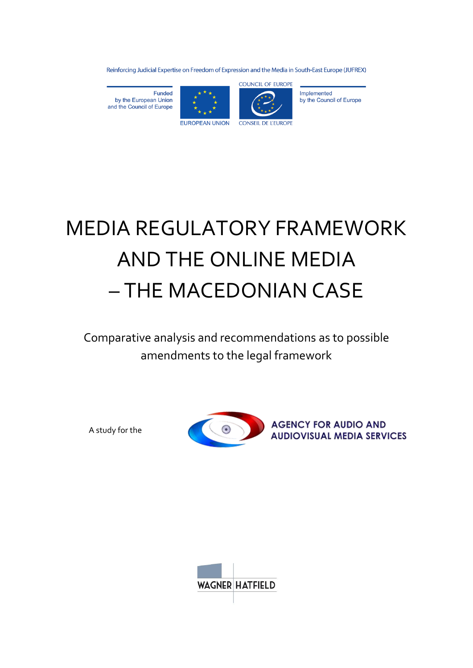Reinforcing Judicial Expertise on Freedom of Expression and the Media in South-East Europe (JUFREX)

**Funded** by the European Union and the Council of Europe





Implemented by the Council of Europe

# MEDIA REGULATORY FRAMEWORK AND THE ONLINE MEDIA – THE MACEDONIAN CASE

Comparative analysis and recommendations as to possible amendments to the legal framework

A study for the



**AGENCY FOR AUDIO AND AUDIOVISUAL MEDIA SERVICES** 

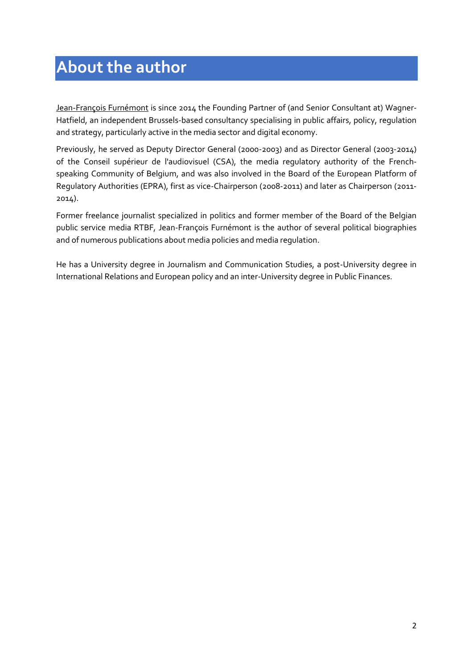# **About the author**

Jean-François Furnémont is since 2014 the Founding Partner of (and Senior Consultant at) Wagner-Hatfield, an independent Brussels-based consultancy specialising in public affairs, policy, regulation and strategy, particularly active in the media sector and digital economy.

Previously, he served as Deputy Director General (2000-2003) and as Director General (2003-2014) of the Conseil supérieur de l'audiovisuel (CSA), the media regulatory authority of the Frenchspeaking Community of Belgium, and was also involved in the Board of the European Platform of Regulatory Authorities (EPRA), first as vice-Chairperson (2008-2011) and later as Chairperson (2011- 2014).

Former freelance journalist specialized in politics and former member of the Board of the Belgian public service media RTBF, Jean-François Furnémont is the author of several political biographies and of numerous publications about media policies and media regulation.

He has a University degree in Journalism and Communication Studies, a post-University degree in International Relations and European policy and an inter-University degree in Public Finances.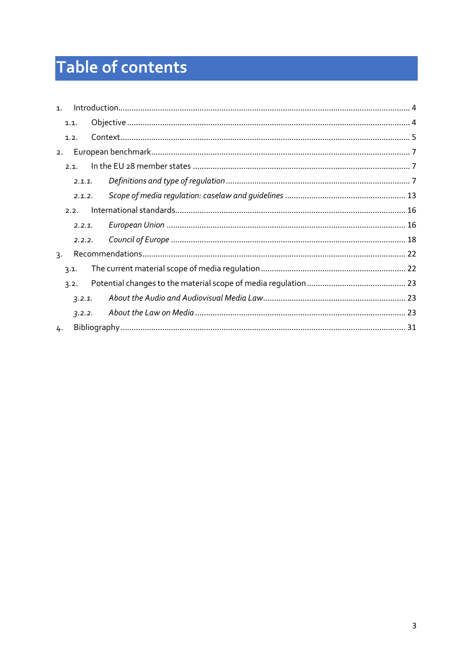# Table of contents

| 1. |        |  |  |
|----|--------|--|--|
|    | 1.1.   |  |  |
|    | 1.2.   |  |  |
| 2. |        |  |  |
|    | 2.1.   |  |  |
|    | 2.1.1. |  |  |
|    | 2.1.2. |  |  |
|    | 2.2.   |  |  |
| 3. | 2.2.1. |  |  |
|    | 2.2.2. |  |  |
|    |        |  |  |
|    | 3.1.   |  |  |
|    | 3.2.   |  |  |
|    | 3.2.1. |  |  |
|    | 3.2.2. |  |  |
| 4. |        |  |  |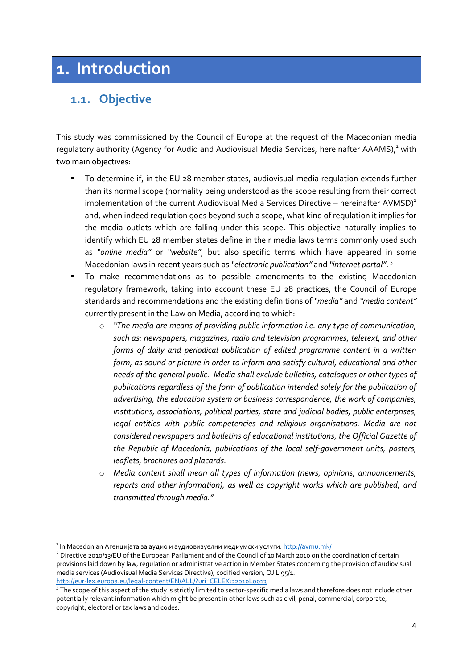# <span id="page-3-0"></span>**1. Introduction**

# <span id="page-3-1"></span>**1.1. Objective**

This study was commissioned by the Council of Europe at the request of the Macedonian media regulatory authority (Agency for Audio and Audiovisual Media Services, hereinafter AAAMS),<sup>1</sup> with two main objectives:

- To determine if, in the EU 28 member states, audiovisual media regulation extends further than its normal scope (normality being understood as the scope resulting from their correct implementation of the current Audiovisual Media Services Directive – hereinafter AVMSD)<sup>2</sup> and, when indeed regulation goes beyond such a scope, what kind of regulation it implies for the media outlets which are falling under this scope. This objective naturally implies to identify which EU 28 member states define in their media laws terms commonly used such as *"online media"* or *"website"*, but also specific terms which have appeared in some Macedonian laws in recent years such as *"electronic publication"* and *"internet portal"*. 3
- To make recommendations as to possible amendments to the existing Macedonian regulatory framework, taking into account these EU 28 practices, the Council of Europe standards and recommendations and the existing definitions of *"media"* and *"media content"* currently present in the Law on Media, according to which:
	- o *"The media are means of providing public information i.e. any type of communication, such as: newspapers, magazines, radio and television programmes, teletext, and other forms of daily and periodical publication of edited programme content in a written form, as sound or picture in order to inform and satisfy cultural, educational and other needs of the general public. Media shall exclude bulletins, catalogues or other types of publications regardless of the form of publication intended solely for the publication of advertising, the education system or business correspondence, the work of companies, institutions, associations, political parties, state and judicial bodies, public enterprises, legal entities with public competencies and religious organisations. Media are not considered newspapers and bulletins of educational institutions, the Official Gazette of the Republic of Macedonia, publications of the local self-government units, posters, leaflets, brochures and placards.*
	- o *Media content shall mean all types of information (news, opinions, announcements, reports and other information), as well as copyright works which are published, and transmitted through media."*

 $^{\rm 1}$ In Macedonian Агенцијата за аудио и аудиовизуелни медиумски услуги.  ${\rm http://armu.mk/}$ 

 $^2$  Directive 2010/13/EU of the European Parliament and of the Council of 10 March 2010 on the coordination of certain provisions laid down by law, regulation or administrative action in Member States concerning the provision of audiovisual media services (Audiovisual Media Services Directive), codified version, OJ L 95/1. <http://eur-lex.europa.eu/legal-content/EN/ALL/?uri=CELEX:32010L0013>

<sup>&</sup>lt;sup>3</sup> The scope of this aspect of the study is strictly limited to sector-specific media laws and therefore does not include other potentially relevant information which might be present in other laws such as civil, penal, commercial, corporate, copyright, electoral or tax laws and codes.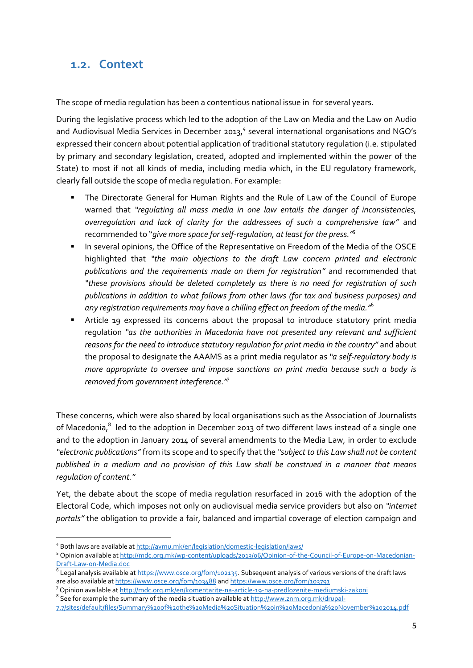### <span id="page-4-0"></span>**1.2. Context**

The scope of media regulation has been a contentious national issue in for several years.

During the legislative process which led to the adoption of the Law on Media and the Law on Audio and Audiovisual Media Services in December 2013,<sup>4</sup> several international organisations and NGO's expressed their concern about potential application of traditional statutory regulation (i.e. stipulated by primary and secondary legislation, created, adopted and implemented within the power of the State) to most if not all kinds of media, including media which, in the EU regulatory framework, clearly fall outside the scope of media regulation. For example:

- The Directorate General for Human Rights and the Rule of Law of the Council of Europe warned that *"regulating all mass media in one law entails the danger of inconsistencies, overregulation and lack of clarity for the addressees of such a comprehensive law"* and recommended to "*give more space for self-regulation, at least for the press."* 5
- In several opinions, the Office of the Representative on Freedom of the Media of the OSCE highlighted that *"the main objections to the draft Law concern printed and electronic publications and the requirements made on them for registration"* and recommended that *"these provisions should be deleted completely as there is no need for registration of such publications in addition to what follows from other laws (for tax and business purposes) and any registration requirements may have a chilling effect on freedom of the media."* 6
- Article 19 expressed its concerns about the proposal to introduce statutory print media regulation *"as the authorities in Macedonia have not presented any relevant and sufficient reasons for the need to introduce statutory regulation for print media in the country"* and about the proposal to designate the AAAMS as a print media regulator as *"a self-regulatory body is more appropriate to oversee and impose sanctions on print media because such a body is removed from government interference."*<sup>7</sup>

These concerns, which were also shared by local organisations such as the Association of Journalists of Macedonia, $^8$  led to the adoption in December 2013 of two different laws instead of a single one and to the adoption in January 2014 of several amendments to the Media Law, in order to exclude *"electronic publications"* from its scope and to specify that the *"subject to this Law shall not be content published in a medium and no provision of this Law shall be construed in a manner that means regulation of content."*

Yet, the debate about the scope of media regulation resurfaced in 2016 with the adoption of the Electoral Code, which imposes not only on audiovisual media service providers but also on *"internet portals"* the obligation to provide a fair, balanced and impartial coverage of election campaign and

**<sup>.</sup>** <sup>4</sup> Both laws are available a[t http://avmu.mk/en/legislation/domestic-legislation/laws/](http://avmu.mk/en/legislation/domestic-legislation/laws/)

<sup>5</sup> Opinion available a[t http://mdc.org.mk/wp-content/uploads/2013/06/Opinion-of-the-Council-of-Europe-on-Macedonian-](http://mdc.org.mk/wp-content/uploads/2013/06/Opinion-of-the-Council-of-Europe-on-Macedonian-Draft-Law-on-Media.doc)[Draft-Law-on-Media.doc](http://mdc.org.mk/wp-content/uploads/2013/06/Opinion-of-the-Council-of-Europe-on-Macedonian-Draft-Law-on-Media.doc)

 $^6$  Legal analysis available at <u>https://www.osce.org/fom/102135</u>. Subsequent analysis of various versions of the draft laws are also available a[t https://www.osce.org/fom/103488](https://www.osce.org/fom/103488) an[d https://www.osce.org/fom/103791](https://www.osce.org/fom/103791)

<sup>7</sup> Opinion available at<http://mdc.org.mk/en/komentarite-na-article-19-na-predlozenite-mediumski-zakoni>

 $^8$  See for example the summary of the media situation available at  $\underline{\text{http://www.znm.org.mk/drupal-}}$ 

[<sup>7.7/</sup>sites/default/files/Summary%20of%20the%20Media%20Situation%20in%20Macedonia%20November%202014.pdf](http://www.znm.org.mk/drupal-7.7/sites/default/files/Summary%20of%20the%20Media%20Situation%20in%20Macedonia%20November%202014.pdf)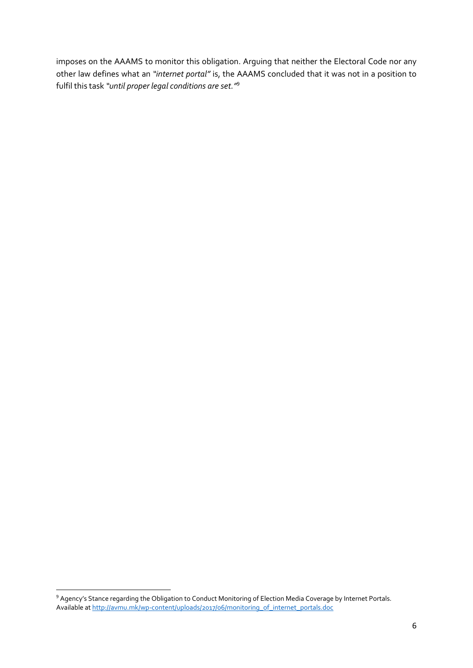imposes on the AAAMS to monitor this obligation. Arguing that neither the Electoral Code nor any other law defines what an *"internet portal"* is, the AAAMS concluded that it was not in a position to fulfil this task *"until proper legal conditions are set."* 9

 9 Agency's Stance regarding the Obligation to Conduct Monitoring of Election Media Coverage by Internet Portals. Available a[t http://avmu.mk/wp-content/uploads/2017/06/monitoring\\_of\\_internet\\_portals.doc](http://avmu.mk/wp-content/uploads/2017/06/monitoring_of_internet_portals.doc)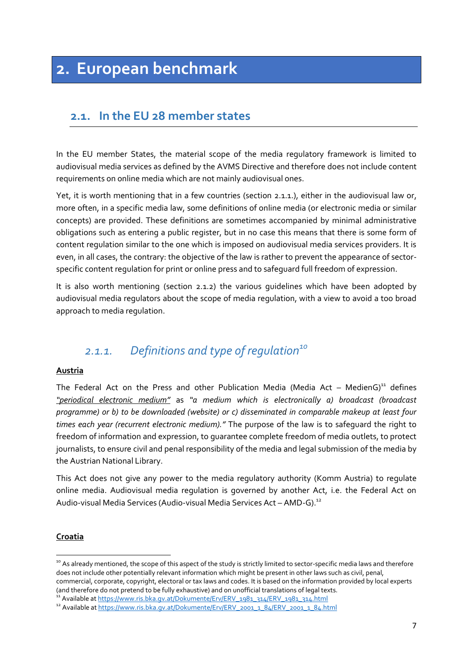# <span id="page-6-0"></span>**2. European benchmark**

# <span id="page-6-1"></span>**2.1. In the EU 28 member states**

In the EU member States, the material scope of the media regulatory framework is limited to audiovisual media services as defined by the AVMS Directive and therefore does not include content requirements on online media which are not mainly audiovisual ones.

Yet, it is worth mentioning that in a few countries (section 2.1.1.), either in the audiovisual law or, more often, in a specific media law, some definitions of online media (or electronic media or similar concepts) are provided. These definitions are sometimes accompanied by minimal administrative obligations such as entering a public register, but in no case this means that there is some form of content regulation similar to the one which is imposed on audiovisual media services providers. It is even, in all cases, the contrary: the objective of the law is rather to prevent the appearance of sectorspecific content regulation for print or online press and to safeguard full freedom of expression.

It is also worth mentioning (section 2.1.2) the various guidelines which have been adopted by audiovisual media regulators about the scope of media regulation, with a view to avoid a too broad approach to media regulation.

# <span id="page-6-2"></span>*2.1.1. Definitions and type of regulation<sup>10</sup>*

#### **Austria**

The Federal Act on the Press and other Publication Media (Media Act – MedienG)<sup>11</sup> defines *"periodical electronic medium"* as *"a medium which is electronically a) broadcast (broadcast programme) or b) to be downloaded (website) or c) disseminated in comparable makeup at least four times each year (recurrent electronic medium)."* The purpose of the law is to safeguard the right to freedom of information and expression, to guarantee complete freedom of media outlets, to protect journalists, to ensure civil and penal responsibility of the media and legal submission of the media by the Austrian National Library.

This Act does not give any power to the media regulatory authority (Komm Austria) to regulate online media. Audiovisual media regulation is governed by another Act, i.e. the Federal Act on Audio-visual Media Services (Audio-visual Media Services Act – AMD-G).<sup>12</sup>

#### **Croatia**

 $\overline{a}$ 

<sup>&</sup>lt;sup>10</sup> As already mentioned, the scope of this aspect of the study is strictly limited to sector-specific media laws and therefore does not include other potentially relevant information which might be present in other laws such as civil, penal, commercial, corporate, copyright, electoral or tax laws and codes. It is based on the information provided by local experts (and therefore do not pretend to be fully exhaustive) and on unofficial translations of legal texts.

<sup>&</sup>lt;sup>11</sup> Available a[t https://www.ris.bka.gv.at/Dokumente/Erv/ERV\\_1981\\_314/ERV\\_1981\\_314.html](https://www.ris.bka.gv.at/Dokumente/Erv/ERV_1981_314/ERV_1981_314.html)

<sup>12</sup> Available at [https://www.ris.bka.gv.at/Dokumente/Erv/ERV\\_2001\\_1\\_84/ERV\\_2001\\_1\\_84.html](https://www.ris.bka.gv.at/Dokumente/Erv/ERV_2001_1_84/ERV_2001_1_84.html)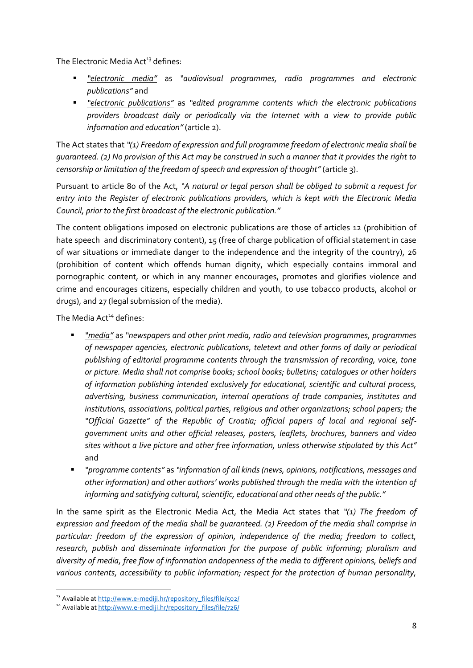The Electronic Media Act<sup>13</sup> defines:

- *"electronic media"* as *"audiovisual programmes, radio programmes and electronic publications"* and
- *"electronic publications"* as *"edited programme contents which the electronic publications providers broadcast daily or periodically via the Internet with a view to provide public information and education"*(article 2).

The Act states that *"(1) Freedom of expression and full programme freedom of electronic media shall be guaranteed. (2) No provision of this Act may be construed in such a manner that it provides the right to censorship or limitation of the freedom of speech and expression of thought"* (article 3).

Pursuant to article 80 of the Act, *"A natural or legal person shall be obliged to submit a request for entry into the Register of electronic publications providers, which is kept with the Electronic Media Council, prior to the first broadcast of the electronic publication."*

The content obligations imposed on electronic publications are those of articles 12 (prohibition of hate speech and discriminatory content), 15 (free of charge publication of official statement in case of war situations or immediate danger to the independence and the integrity of the country), 26 (prohibition of content which offends human dignity, which especially contains immoral and pornographic content, or which in any manner encourages, promotes and glorifies violence and crime and encourages citizens, especially children and youth, to use tobacco products, alcohol or drugs), and 27 (legal submission of the media).

The Media Act<sup>14</sup> defines:

- *"media"* as *"newspapers and other print media, radio and television programmes, programmes of newspaper agencies, electronic publications, teletext and other forms of daily or periodical publishing of editorial programme contents through the transmission of recording, voice, tone or picture. Media shall not comprise books; school books; bulletins; catalogues or other holders of information publishing intended exclusively for educational, scientific and cultural process, advertising, business communication, internal operations of trade companies, institutes and institutions, associations, political parties, religious and other organizations; school papers; the "Official Gazette" of the Republic of Croatia; official papers of local and regional selfgovernment units and other official releases, posters, leaflets, brochures, banners and video sites without a live picture and other free information, unless otherwise stipulated by this Act"* and
- *"programme contents"* as *"information of all kinds (news, opinions, notifications, messages and other information) and other authors' works published through the media with the intention of informing and satisfying cultural, scientific, educational and other needs of the public."*

In the same spirit as the Electronic Media Act, the Media Act states that *"(1) The freedom of expression and freedom of the media shall be guaranteed. (2) Freedom of the media shall comprise in particular: freedom of the expression of opinion, independence of the media; freedom to collect, research, publish and disseminate information for the purpose of public informing; pluralism and diversity of media, free flow of information andopenness of the media to different opinions, beliefs and various contents, accessibility to public information; respect for the protection of human personality,* 

<sup>13</sup> Available a[t http://www.e-mediji.hr/repository\\_files/file/502/](http://www.e-mediji.hr/repository_files/file/502/)

<sup>&</sup>lt;sup>14</sup> Available at [http://www.e-mediji.hr/repository\\_files/file/726/](http://www.e-mediji.hr/repository_files/file/726/)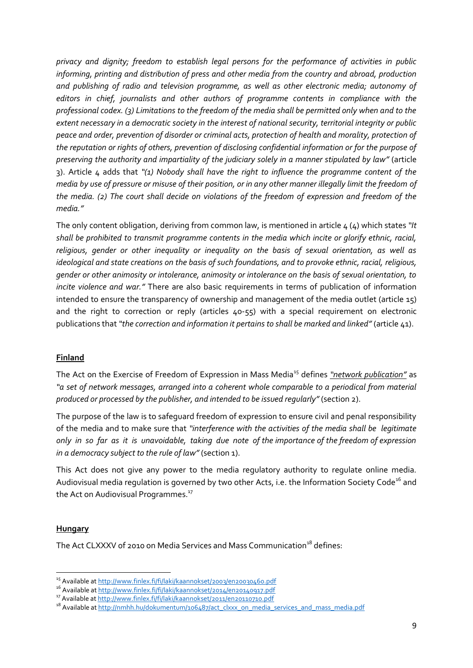*privacy and dignity; freedom to establish legal persons for the performance of activities in public informing, printing and distribution of press and other media from the country and abroad, production and publishing of radio and television programme, as well as other electronic media; autonomy of editors in chief, journalists and other authors of programme contents in compliance with the professional codex. (3) Limitations to the freedom of the media shall be permitted only when and to the extent necessary in a democratic society in the interest of national security, territorial integrity or public peace and order, prevention of disorder or criminal acts, protection of health and morality, protection of the reputation or rights of others, prevention of disclosing confidential information or for the purpose of preserving the authority and impartiality of the judiciary solely in a manner stipulated by law"* (article 3). Article 4 adds that *"(1) Nobody shall have the right to influence the programme content of the media by use of pressure or misuse of their position, or in any other manner illegally limit the freedom of the media. (2) The court shall decide on violations of the freedom of expression and freedom of the media."*

The only content obligation, deriving from common law, is mentioned in article 4 (4) which states *"It shall be prohibited to transmit programme contents in the media which incite or glorify ethnic, racial, religious, gender or other inequality or inequality on the basis of sexual orientation, as well as ideological and state creations on the basis of such foundations, and to provoke ethnic, racial, religious, gender or other animosity or intolerance, animosity or intolerance on the basis of sexual orientation, to incite violence and war."* There are also basic requirements in terms of publication of information intended to ensure the transparency of ownership and management of the media outlet (article 15) and the right to correction or reply (articles 40-55) with a special requirement on electronic publications that "the correction and information it pertains to shall be marked and linked" (article 41).

#### **Finland**

The Act on the Exercise of Freedom of Expression in Mass Media<sup>15</sup> defines *"network publication"* as *"a set of network messages, arranged into a coherent whole comparable to a periodical from material produced or processed by the publisher, and intended to be issued regularly"* (section 2).

The purpose of the law is to safeguard freedom of expression to ensure civil and penal responsibility of the media and to make sure that *"interference with the activities of the media shall be legitimate only in so far as it is unavoidable, taking due note of the importance of the freedom of expression in a democracy subject to the rule of law"* (section 1).

This Act does not give any power to the media regulatory authority to regulate online media. Audiovisual media regulation is governed by two other Acts, i.e. the Information Society Code<sup>16</sup> and the Act on Audiovisual Programmes.<sup>17</sup>

#### **Hungary**

**.** 

The Act CLXXXV of 2010 on Media Services and Mass Communication<sup>18</sup> defines:

<sup>15</sup> Available a[t http://www.finlex.fi/fi/laki/kaannokset/2003/en20030460.pdf](http://www.finlex.fi/fi/laki/kaannokset/2003/en20030460.pdf)

<sup>16</sup> Available at<http://www.finlex.fi/fi/laki/kaannokset/2014/en20140917.pdf>

<sup>17</sup> Available a[t http://www.finlex.fi/fi/laki/kaannokset/2011/en20110710.pdf](http://www.finlex.fi/fi/laki/kaannokset/2011/en20110710.pdf) 

<sup>&</sup>lt;sup>18</sup> Available at [http://nmhh.hu/dokumentum/106487/act\\_clxxx\\_on\\_media\\_services\\_and\\_mass\\_media.pdf](http://nmhh.hu/dokumentum/106487/act_clxxx_on_media_services_and_mass_media.pdf)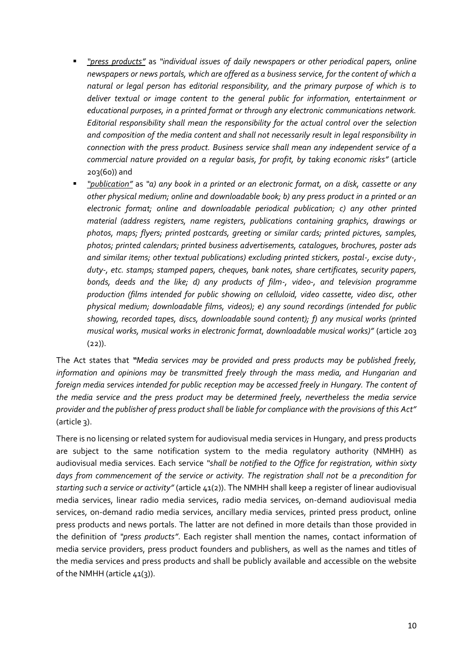- *"press products"* as *"individual issues of daily newspapers or other periodical papers, online newspapers or news portals, which are offered as a business service, for the content of which a natural or legal person has editorial responsibility, and the primary purpose of which is to deliver textual or image content to the general public for information, entertainment or educational purposes, in a printed format or through any electronic communications network. Editorial responsibility shall mean the responsibility for the actual control over the selection and composition of the media content and shall not necessarily result in legal responsibility in connection with the press product. Business service shall mean any independent service of a commercial nature provided on a regular basis, for profit, by taking economic risks"* (article 203(60)) and
- *"publication"* as *"a) any book in a printed or an electronic format, on a disk, cassette or any other physical medium; online and downloadable book; b) any press product in a printed or an electronic format; online and downloadable periodical publication; c) any other printed material (address registers, name registers, publications containing graphics, drawings or photos, maps; flyers; printed postcards, greeting or similar cards; printed pictures, samples, photos; printed calendars; printed business advertisements, catalogues, brochures, poster ads and similar items; other textual publications) excluding printed stickers, postal-, excise duty-, duty-, etc. stamps; stamped papers, cheques, bank notes, share certificates, security papers, bonds, deeds and the like; d) any products of film-, video-, and television programme production (films intended for public showing on celluloid, video cassette, video disc, other physical medium; downloadable films, videos); e) any sound recordings (intended for public showing, recorded tapes, discs, downloadable sound content); f) any musical works (printed musical works, musical works in electronic format, downloadable musical works)"* (article 203  $(22)$ ).

The Act states that *"Media services may be provided and press products may be published freely, information and opinions may be transmitted freely through the mass media, and Hungarian and foreign media services intended for public reception may be accessed freely in Hungary. The content of the media service and the press product may be determined freely, nevertheless the media service provider and the publisher of press product shall be liable for compliance with the provisions of this Act"* (article 3).

There is no licensing or related system for audiovisual media services in Hungary, and press products are subject to the same notification system to the media regulatory authority (NMHH) as audiovisual media services. Each service *"shall be notified to the Office for registration, within sixty days from commencement of the service or activity. The registration shall not be a precondition for starting such a service or activity"* (article 41(2)). The NMHH shall keep a register of linear audiovisual media services, linear radio media services, radio media services, on-demand audiovisual media services, on-demand radio media services, ancillary media services, printed press product, online press products and news portals. The latter are not defined in more details than those provided in the definition of *"press products"*. Each register shall mention the names, contact information of media service providers, press product founders and publishers, as well as the names and titles of the media services and press products and shall be publicly available and accessible on the website of the NMHH (article 41(3)).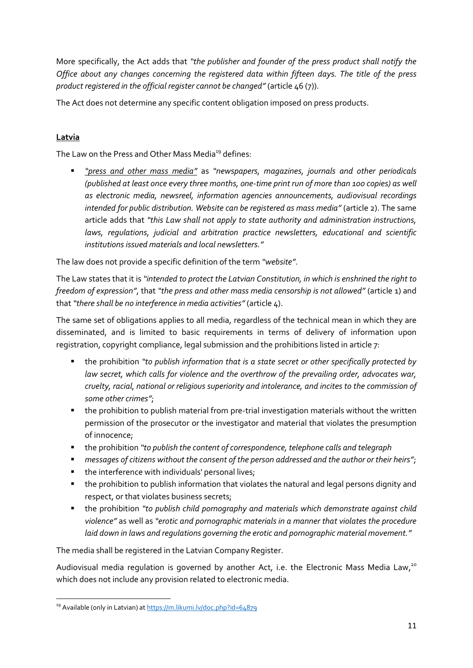More specifically, the Act adds that *"the publisher and founder of the press product shall notify the Office about any changes concerning the registered data within fifteen days. The title of the press product registered in the official register cannot be changed"* (article 46 (7)).

The Act does not determine any specific content obligation imposed on press products.

#### **Latvia**

The Law on the Press and Other Mass Media<sup>19</sup> defines:

 *"press and other mass media"* as *"newspapers, magazines, journals and other periodicals (published at least once every three months, one-time print run of more than 100 copies) as well as electronic media, newsreel, information agencies announcements, audiovisual recordings intended for public distribution. Website can be registered as mass media"* (article 2). The same article adds that *"this Law shall not apply to state authority and administration instructions, laws, regulations, judicial and arbitration practice newsletters, educational and scientific institutions issued materials and local newsletters."*

The law does not provide a specific definition of the term *"website"*.

The Law states that it is *"intended to protect the Latvian Constitution, in which is enshrined the right to freedom of expression"*, that *"the press and other mass media censorship is not allowed"* (article 1) and that *"there shall be no interference in media activities"* (article 4).

The same set of obligations applies to all media, regardless of the technical mean in which they are disseminated, and is limited to basic requirements in terms of delivery of information upon registration, copyright compliance, legal submission and the prohibitions listed in article 7:

- the prohibition *"to publish information that is a state secret or other specifically protected by law secret, which calls for violence and the overthrow of the prevailing order, advocates war, cruelty, racial, national or religious superiority and intolerance, and incites to the commission of some other crimes"*;
- **the prohibition to publish material from pre-trial investigation materials without the written** permission of the prosecutor or the investigator and material that violates the presumption of innocence;
- the prohibition *"to publish the content of correspondence, telephone calls and telegraph*
- *messages of citizens without the consent of the person addressed and the author or their heirs"*;
- **the interference with individuals' personal lives;**
- the prohibition to publish information that violates the natural and legal persons dignity and respect, or that violates business secrets;
- the prohibition *"to publish child pornography and materials which demonstrate against child violence"* as well as *"erotic and pornographic materials in a manner that violates the procedure laid down in laws and regulations governing the erotic and pornographic material movement."*

The media shall be registered in the Latvian Company Register.

Audiovisual media regulation is governed by another Act, i.e. the Electronic Mass Media Law,<sup>20</sup> which does not include any provision related to electronic media.

**<sup>.</sup>** <sup>19</sup> Available (only in Latvian) at <u>https://m.likumi.lv/doc.php?id=64879</u>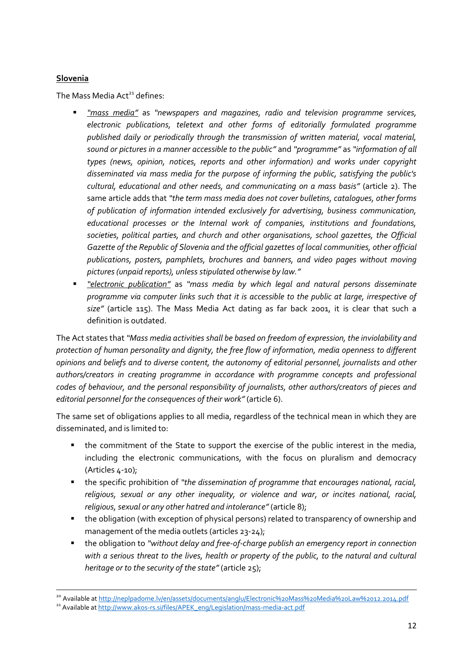#### **Slovenia**

**.** 

The Mass Media  $Act<sup>21</sup>$  defines:

- *"mass media"* as *"newspapers and magazines, radio and television programme services, electronic publications, teletext and other forms of editorially formulated programme published daily or periodically through the transmission of written material, vocal material, sound or pictures in a manner accessible to the public"* and *"programme"* as *"information of all types (news, opinion, notices, reports and other information) and works under copyright disseminated via mass media for the purpose of informing the public, satisfying the public's cultural, educational and other needs, and communicating on a mass basis"* (article 2). The same article adds that *"the term mass media does not cover bulletins, catalogues, other forms of publication of information intended exclusively for advertising, business communication, educational processes or the Internal work of companies, institutions and foundations, societies, political parties, and church and other organisations, school gazettes, the Official Gazette of the Republic of Slovenia and the official gazettes of local communities, other official publications, posters, pamphlets, brochures and banners, and video pages without moving pictures (unpaid reports), unless stipulated otherwise by law."*
- *"electronic publication"* as *"mass media by which legal and natural persons disseminate programme via computer links such that it is accessible to the public at large, irrespective of size"* (article 115). The Mass Media Act dating as far back 2001, it is clear that such a definition is outdated.

The Act states that *"Mass media activities shall be based on freedom of expression, the inviolability and protection of human personality and dignity, the free flow of information, media openness to different opinions and beliefs and to diverse content, the autonomy of editorial personnel, journalists and other authors/creators in creating programme in accordance with programme concepts and professional codes of behaviour, and the personal responsibility of journalists, other authors/creators of pieces and editorial personnel for the consequences of their work"* (article 6).

The same set of obligations applies to all media, regardless of the technical mean in which they are disseminated, and is limited to:

- the commitment of the State to support the exercise of the public interest in the media, including the electronic communications, with the focus on pluralism and democracy (Articles 4-10);
- the specific prohibition of *"the dissemination of programme that encourages national, racial, religious, sexual or any other inequality, or violence and war, or incites national, racial, religious, sexual or any other hatred and intolerance"* (article 8);
- the obligation (with exception of physical persons) related to transparency of ownership and management of the media outlets (articles 23-24);
- the obligation to *"without delay and free-of-charge publish an emergency report in connection with a serious threat to the lives, health or property of the public, to the natural and cultural heritage or to the security of the state"* (article 25);

<sup>&</sup>lt;sup>20</sup> Available a[t http://neplpadome.lv/en/assets/documents/anglu/Electronic%20Mass%20Media%20Law%2012.2014.pdf](http://neplpadome.lv/en/assets/documents/anglu/Electronic%20Mass%20Media%20Law%2012.2014.pdf)

<sup>&</sup>lt;sup>21</sup> Available at [http://www.akos-rs.si/files/APEK\\_eng/Legislation/mass-media-act.pdf](http://www.akos-rs.si/files/APEK_eng/Legislation/mass-media-act.pdf)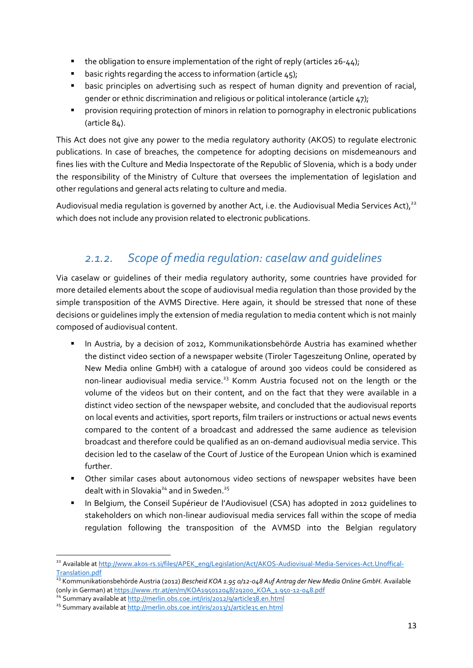- $\bullet$  the obligation to ensure implementation of the right of reply (articles 26-44);
- **basic rights regarding the access to information (article 45);**
- basic principles on advertising such as respect of human dignity and prevention of racial, gender or ethnic discrimination and religious or political intolerance (article 47);
- **P** provision requiring protection of minors in relation to pornography in electronic publications (article 84).

This Act does not give any power to the media regulatory authority (AKOS) to regulate electronic publications. In case of breaches, the competence for adopting decisions on misdemeanours and fines lies with the Culture and Media Inspectorate of the Republic of Slovenia, which is a body under the responsibility of the Ministry of Culture that oversees the implementation of legislation and other regulations and general acts relating to culture and media.

Audiovisual media regulation is governed by another Act, i.e. the Audiovisual Media Services Act),<sup>22</sup> which does not include any provision related to electronic publications.

# *2.1.2. Scope of media regulation: caselaw and guidelines*

<span id="page-12-0"></span>Via caselaw or guidelines of their media regulatory authority, some countries have provided for more detailed elements about the scope of audiovisual media regulation than those provided by the simple transposition of the AVMS Directive. Here again, it should be stressed that none of these decisions or guidelines imply the extension of media regulation to media content which is not mainly composed of audiovisual content.

- **In Austria, by a decision of 2012, Kommunikationsbehörde Austria has examined whether** the distinct video section of a newspaper website (Tiroler Tageszeitung Online, operated by New Media online GmbH) with a catalogue of around 300 videos could be considered as non-linear audiovisual media service.<sup>23</sup> Komm Austria focused not on the length or the volume of the videos but on their content, and on the fact that they were available in a distinct video section of the newspaper website, and concluded that the audiovisual reports on local events and activities, sport reports, film trailers or instructions or actual news events compared to the content of a broadcast and addressed the same audience as television broadcast and therefore could be qualified as an on-demand audiovisual media service. This decision led to the caselaw of the Court of Justice of the European Union which is examined further.
- Other similar cases about autonomous video sections of newspaper websites have been dealt with in Slovakia<sup>24</sup> and in Sweden.<sup>25</sup>
- In Belgium, the Conseil Supérieur de l'Audiovisuel (CSA) has adopted in 2012 guidelines to stakeholders on which non-linear audiovisual media services fall within the scope of media regulation following the transposition of the AVMSD into the Belgian regulatory

 $\overline{\phantom{a}}$ 

<sup>&</sup>lt;sup>22</sup> Available a[t http://www.akos-rs.si/files/APEK\\_eng/Legislation/Act/AKOS-Audiovisual-Media-Services-Act.Unoffical-](http://www.akos-rs.si/files/APEK_eng/Legislation/Act/AKOS-Audiovisual-Media-Services-Act.Unoffical-Translation.pdf)[Translation.pdf](http://www.akos-rs.si/files/APEK_eng/Legislation/Act/AKOS-Audiovisual-Media-Services-Act.Unoffical-Translation.pdf)

<sup>23</sup> Kommunikationsbehörde Austria (2012) *Bescheid KOA 1.95 0/12-048 Auf Antrag der New Media Online GmbH.* Available (only in German) at [https://www.rtr.at/en/m/KOA195012048/29200\\_KOA\\_1.950-12-048.pdf](https://www.rtr.at/en/m/KOA195012048/29200_KOA_1.950-12-048.pdf)

<sup>&</sup>lt;sup>24</sup> Summary available a[t http://merlin.obs.coe.int/iris/2012/9/article38.en.html](http://merlin.obs.coe.int/iris/2012/9/article38.en.html)

<sup>&</sup>lt;sup>25</sup> Summary available a[t http://merlin.obs.coe.int/iris/2013/1/article35.en.html](http://merlin.obs.coe.int/iris/2013/1/article35.en.html)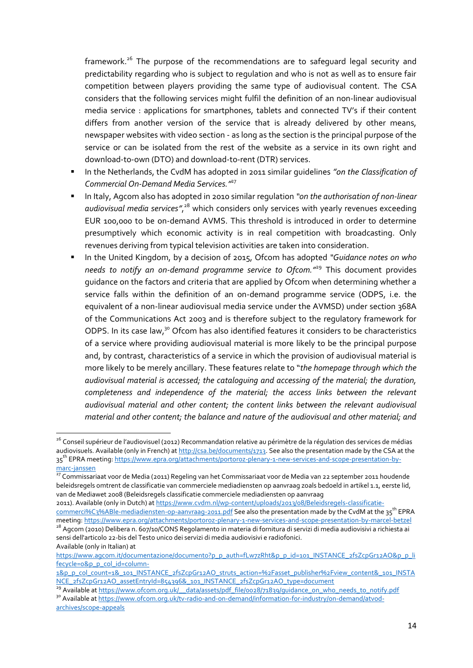framework.<sup>26</sup> The purpose of the recommendations are to safequard legal security and predictability regarding who is subject to regulation and who is not as well as to ensure fair competition between players providing the same type of audiovisual content. The CSA considers that the following services might fulfil the definition of an non-linear audiovisual media service : applications for smartphones, tablets and connected TV's if their content differs from another version of the service that is already delivered by other means, newspaper websites with video section - as long as the section is the principal purpose of the service or can be isolated from the rest of the website as a service in its own right and download-to-own (DTO) and download-to-rent (DTR) services.

- In the Netherlands, the CvdM has adopted in 2011 similar guidelines *"on the Classification of Commercial On-Demand Media Services."* 27
- In Italy, Agcom also has adopted in 2010 similar regulation *"on the authorisation of non-linear*  audiovisual media services",<sup>28</sup> which considers only services with yearly revenues exceeding EUR 100,000 to be on-demand AVMS. This threshold is introduced in order to determine presumptively which economic activity is in real competition with broadcasting. Only revenues deriving from typical television activities are taken into consideration.
- In the United Kingdom, by a decision of 2015, Ofcom has adopted *"Guidance notes on who needs to notify an on-demand programme service to Ofcom."*<sup>29</sup> This document provides guidance on the factors and criteria that are applied by Ofcom when determining whether a service falls within the definition of an on-demand programme service (ODPS, i.e. the equivalent of a non-linear audiovisual media service under the AVMSD) under section 368A of the Communications Act 2003 and is therefore subject to the regulatory framework for ODPS. In its case law,<sup>30</sup> Ofcom has also identified features it considers to be characteristics of a service where providing audiovisual material is more likely to be the principal purpose and, by contrast, characteristics of a service in which the provision of audiovisual material is more likely to be merely ancillary. These features relate to "*the homepage through which the audiovisual material is accessed; the cataloguing and accessing of the material; the duration, completeness and independence of the material; the access links between the relevant audiovisual material and other content; the content links between the relevant audiovisual material and other content; the balance and nature of the audiovisual and other material; and*

<sup>&</sup>lt;sup>26</sup> Conseil supérieur de l'audiovisuel (2012) Recommandation relative au périmètre de la régulation des services de médias audiovisuels. Available (only in French) a[t http://csa.be/documents/1713.](http://csa.be/documents/1713) See also the presentation made by the CSA at the 35<sup>th</sup> EPRA meeting: <u>https://www.epra.org/attachments/portoroz-plenary-1-new-services-and-scope-presentation-by-</u> [marc-janssen](https://www.epra.org/attachments/portoroz-plenary-1-new-services-and-scope-presentation-by-marc-janssen)

<sup>&</sup>lt;sup>27</sup> Commissariaat voor de Media (2011) Regeling van het Commissariaat voor de Media van 22 september 2011 houdende beleidsregels omtrent de classificatie van commerciele mediadiensten op aanvraag zoals bedoeld in artikel 1.1, eerste lid, van de Mediawet 2008 (Beleidsregels classificatie commerciele mediadiensten op aanvraag

<sup>2011).</sup> Available (only in Dutch) a[t https://www.cvdm.nl/wp-content/uploads/2013/08/Beleidsregels-classificatie](https://www.cvdm.nl/wp-content/uploads/2013/08/Beleidsregels-classificatie-commerci%C3%ABle-mediadiensten-op-aanvraag-2011.pdf)[commerci%C3%ABle-mediadiensten-op-aanvraag-2011.pdf](https://www.cvdm.nl/wp-content/uploads/2013/08/Beleidsregels-classificatie-commerci%C3%ABle-mediadiensten-op-aanvraag-2011.pdf) See also the presentation made by the CvdM at the 35<sup>th</sup> EPRA meeting[: https://www.epra.org/attachments/portoroz-plenary-1-new-services-and-scope-presentation-by-marcel-betzel](https://www.epra.org/attachments/portoroz-plenary-1-new-services-and-scope-presentation-by-marcel-betzel)

<sup>&</sup>lt;sup>28</sup> Agcom (2010) Delibera n. 607/10/CONS Regolamento in materia di fornitura di servizi di media audiovisivi a richiesta ai sensi dell'articolo 22-bis del Testo unico dei servizi di media audiovisivi e radiofonici. Available (only in Italian) at

[https://www.agcom.it/documentazione/documento?p\\_p\\_auth=fLw7zRht&p\\_p\\_id=101\\_INSTANCE\\_2fsZcpGr12AO&p\\_p\\_li](https://www.agcom.it/documentazione/documento?p_p_auth=fLw7zRht&p_p_id=101_INSTANCE_2fsZcpGr12AO&p_p_lifecycle=0&p_p_col_id=column-1&p_p_col_count=1&_101_INSTANCE_2fsZcpGr12AO_struts_action=%2Fasset_publisher%2Fview_content&_101_INSTANCE_2fsZcpGr12AO_assetEntryId=854396&_101_INSTANCE_2fsZcpGr12AO_type=document) [fecycle=0&p\\_p\\_col\\_id=column-](https://www.agcom.it/documentazione/documento?p_p_auth=fLw7zRht&p_p_id=101_INSTANCE_2fsZcpGr12AO&p_p_lifecycle=0&p_p_col_id=column-1&p_p_col_count=1&_101_INSTANCE_2fsZcpGr12AO_struts_action=%2Fasset_publisher%2Fview_content&_101_INSTANCE_2fsZcpGr12AO_assetEntryId=854396&_101_INSTANCE_2fsZcpGr12AO_type=document)

[<sup>1&</sup>amp;p\\_p\\_col\\_count=1&\\_101\\_INSTANCE\\_2fsZcpGr12AO\\_struts\\_action=%2Fasset\\_publisher%2Fview\\_content&\\_101\\_INSTA](https://www.agcom.it/documentazione/documento?p_p_auth=fLw7zRht&p_p_id=101_INSTANCE_2fsZcpGr12AO&p_p_lifecycle=0&p_p_col_id=column-1&p_p_col_count=1&_101_INSTANCE_2fsZcpGr12AO_struts_action=%2Fasset_publisher%2Fview_content&_101_INSTANCE_2fsZcpGr12AO_assetEntryId=854396&_101_INSTANCE_2fsZcpGr12AO_type=document) [NCE\\_2fsZcpGr12AO\\_assetEntryId=854396&\\_101\\_INSTANCE\\_2fsZcpGr12AO\\_type=document](https://www.agcom.it/documentazione/documento?p_p_auth=fLw7zRht&p_p_id=101_INSTANCE_2fsZcpGr12AO&p_p_lifecycle=0&p_p_col_id=column-1&p_p_col_count=1&_101_INSTANCE_2fsZcpGr12AO_struts_action=%2Fasset_publisher%2Fview_content&_101_INSTANCE_2fsZcpGr12AO_assetEntryId=854396&_101_INSTANCE_2fsZcpGr12AO_type=document)

<sup>&</sup>lt;sup>29</sup> Available a[t https://www.ofcom.org.uk/\\_\\_data/assets/pdf\\_file/0028/71839/guidance\\_on\\_who\\_needs\\_to\\_notify.pdf](https://www.ofcom.org.uk/__data/assets/pdf_file/0028/71839/guidance_on_who_needs_to_notify.pdf) <sup>30</sup> Available a[t https://www.ofcom.org.uk/tv-radio-and-on-demand/information-for-industry/on-demand/atvod-](https://www.ofcom.org.uk/tv-radio-and-on-demand/information-for-industry/on-demand/atvod-archives/scope-appeals)

[archives/scope-appeals](https://www.ofcom.org.uk/tv-radio-and-on-demand/information-for-industry/on-demand/atvod-archives/scope-appeals)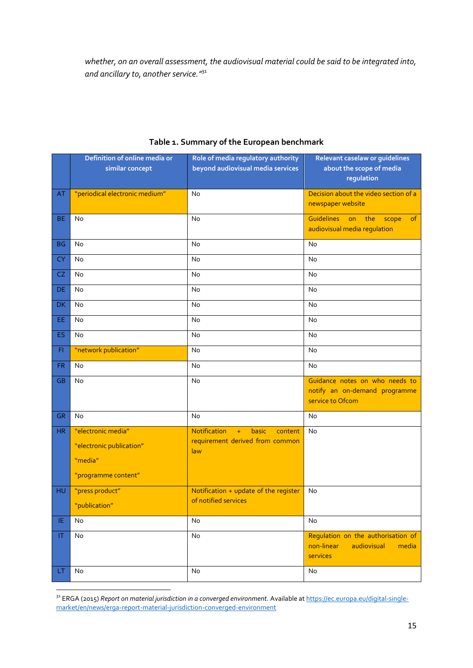*whether, on an overall assessment, the audiovisual material could be said to be integrated into, and ancillary to, another service."*<sup>31</sup>

|           | Definition of online media or  | Role of media regulatory authority      | Relevant caselaw or guidelines                                                       |
|-----------|--------------------------------|-----------------------------------------|--------------------------------------------------------------------------------------|
|           | similar concept                | beyond audiovisual media services       | about the scope of media<br>regulation                                               |
| AT        | "periodical electronic medium" | No                                      | Decision about the video section of a<br>newspaper website                           |
| <b>BE</b> | <b>No</b>                      | No                                      | <b>Guidelines</b><br>on<br>the<br>of<br>scope<br>audiovisual media regulation        |
| <b>BG</b> | <b>No</b>                      | <b>No</b>                               | No                                                                                   |
| <b>CY</b> | <b>No</b>                      | No                                      | No                                                                                   |
| CZ        | No                             | No                                      | No                                                                                   |
| DE        | No                             | No                                      | No                                                                                   |
| DK        | No                             | No                                      | No                                                                                   |
| EE        | No                             | No                                      | No                                                                                   |
| ES        | No                             | No                                      | <b>No</b>                                                                            |
| FI.       | "network publication"          | No                                      | No                                                                                   |
| <b>FR</b> | No                             | No                                      | No                                                                                   |
| <b>GB</b> | No                             | No                                      | Guidance notes on who needs to<br>notify an on-demand programme<br>service to Ofcom  |
| <b>GR</b> | No                             | No                                      | No                                                                                   |
| HR        | "electronic media"             | Notification<br>basic<br>$+$<br>content | No                                                                                   |
|           | "electronic publication"       | requirement derived from common<br>law  |                                                                                      |
|           | "media"                        |                                         |                                                                                      |
|           | "programme content"            |                                         |                                                                                      |
| HU        | "press product"                | Notification + update of the register   | No                                                                                   |
|           | "publication"                  | of notified services                    |                                                                                      |
| ΙE        | No                             | No                                      | No                                                                                   |
| ΙT        | No                             | No                                      | Regulation on the authorisation of<br>non-linear<br>audiovisual<br>media<br>services |
| LT.       | No                             | No                                      | No                                                                                   |

#### **Table 1. Summary of the European benchmark**

<sup>&</sup>lt;sup>31</sup> ERGA (2015) *Report on material jurisdiction in a converged environment.* Available at <u>https://ec.europa.eu/digital-single-</u> [market/en/news/erga-report-material-jurisdiction-converged-environment](https://ec.europa.eu/digital-single-market/en/news/erga-report-material-jurisdiction-converged-environment)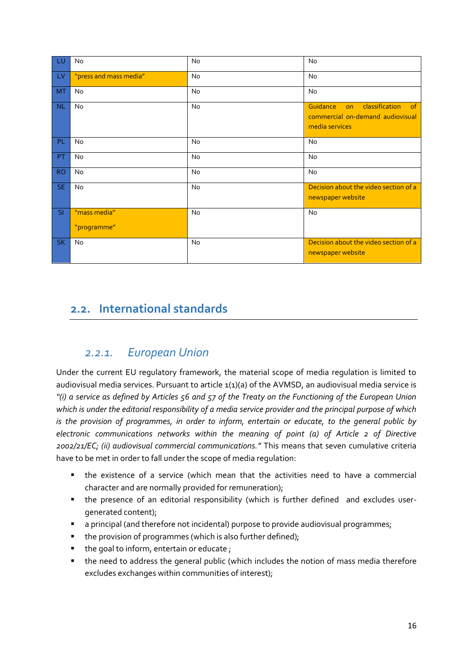| <b>LU</b>                   | No                     | No        | No                                                                                                  |
|-----------------------------|------------------------|-----------|-----------------------------------------------------------------------------------------------------|
| $-LV$                       | "press and mass media" | No        | No                                                                                                  |
| MT                          | No                     | No        | No                                                                                                  |
| N <sub>L</sub>              | <b>No</b>              | <b>No</b> | Guidance<br>classification<br>$\circ$ f<br>on<br>commercial on-demand audiovisual<br>media services |
| PL                          | <b>No</b>              | No        | No                                                                                                  |
| PT                          | <b>No</b>              | <b>No</b> | <b>No</b>                                                                                           |
| RO <sub>1</sub>             | No                     | No        | No                                                                                                  |
| SE                          | No                     | <b>No</b> | Decision about the video section of a<br>newspaper website                                          |
| SI                          | "mass media"           | No        | No                                                                                                  |
|                             | "programme"            |           |                                                                                                     |
| $\overline{\phantom{a}}$ SK | <b>No</b>              | <b>No</b> | Decision about the video section of a<br>newspaper website                                          |

# <span id="page-15-0"></span>**2.2. International standards**

### *2.2.1. European Union*

<span id="page-15-1"></span>Under the current EU regulatory framework, the material scope of media regulation is limited to audiovisual media services. Pursuant to article 1(1)(a) of the AVMSD, an audiovisual media service is *"(i) a service as defined by Articles 56 and 57 of the Treaty on the Functioning of the European Union which is under the editorial responsibility of a media service provider and the principal purpose of which is the provision of programmes, in order to inform, entertain or educate, to the general public by electronic communications networks within the meaning of point (a) of Article 2 of Directive 2002/21/EC; (ii) audiovisual commercial communications."* This means that seven cumulative criteria have to be met in order to fall under the scope of media regulation:

- the existence of a service (which mean that the activities need to have a commercial character and are normally provided for remuneration);
- the presence of an editorial responsibility (which is further defined and excludes usergenerated content);
- a principal (and therefore not incidental) purpose to provide audiovisual programmes;
- the provision of programmes (which is also further defined);
- the goal to inform, entertain or educate;
- the need to address the general public (which includes the notion of mass media therefore excludes exchanges within communities of interest);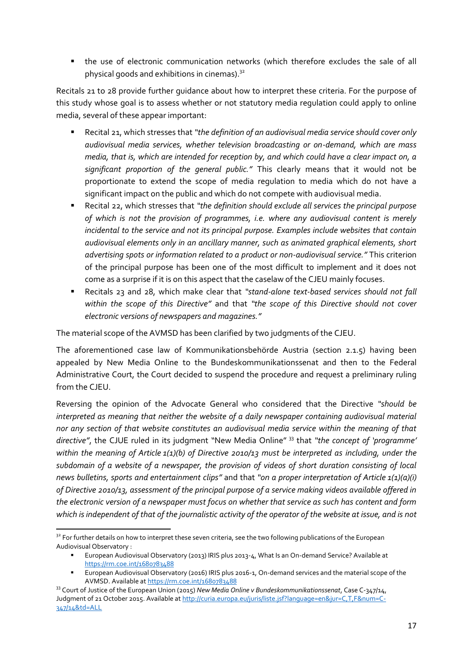the use of electronic communication networks (which therefore excludes the sale of all physical goods and exhibitions in cinemas). $32$ 

Recitals 21 to 28 provide further guidance about how to interpret these criteria. For the purpose of this study whose goal is to assess whether or not statutory media regulation could apply to online media, several of these appear important:

- Recital 21, which stresses that *"the definition of an audiovisual media service should cover only audiovisual media services, whether television broadcasting or on-demand, which are mass media, that is, which are intended for reception by, and which could have a clear impact on, a significant proportion of the general public."* This clearly means that it would not be proportionate to extend the scope of media regulation to media which do not have a significant impact on the public and which do not compete with audiovisual media.
- Recital 22, which stresses that *"the definition should exclude all services the principal purpose of which is not the provision of programmes, i.e. where any audiovisual content is merely incidental to the service and not its principal purpose. Examples include websites that contain audiovisual elements only in an ancillary manner, such as animated graphical elements, short advertising spots or information related to a product or non-audiovisual service."* This criterion of the principal purpose has been one of the most difficult to implement and it does not come as a surprise if it is on this aspect that the caselaw of the CJEU mainly focuses.
- Recitals 23 and 28, which make clear that *"stand-alone text-based services should not fall within the scope of this Directive"* and that *"the scope of this Directive should not cover electronic versions of newspapers and magazines."*

The material scope of the AVMSD has been clarified by two judgments of the CJEU.

The aforementioned case law of Kommunikationsbehörde Austria (section 2.1.5) having been appealed by New Media Online to the Bundeskommunikationssenat and then to the Federal Administrative Court, the Court decided to suspend the procedure and request a preliminary ruling from the CJEU.

Reversing the opinion of the Advocate General who considered that the Directive *"should be interpreted as meaning that neither the website of a daily newspaper containing audiovisual material nor any section of that website constitutes an audiovisual media service within the meaning of that directive"*, the CJUE ruled in its judgment "New Media Online" <sup>33</sup> that *"the concept of 'programme' within the meaning of Article 1(1)(b) of Directive 2010/13 must be interpreted as including, under the subdomain of a website of a newspaper, the provision of videos of short duration consisting of local news bulletins, sports and entertainment clips"* and that *"on a proper interpretation of Article 1(1)(a)(i) of Directive 2010/13, assessment of the principal purpose of a service making videos available offered in the electronic version of a newspaper must focus on whether that service as such has content and form*  which is independent of that of the journalistic activity of the operator of the website at issue, and is not

<sup>&</sup>lt;sup>32</sup> For further details on how to interpret these seven criteria, see the two following publications of the European Audiovisual Observatory :

European Audiovisual Observatory (2013) IRIS plus 2013-4, What Is an On-demand Service? Available at <https://rm.coe.int/1680783488>

European Audiovisual Observatory (2016) IRIS plus 2016-1, On-demand services and the material scope of the AVMSD. Available a[t https://rm.coe.int/1680783488](https://rm.coe.int/1680783488)

<sup>33</sup> Court of Justice of the European Union (2015) *New Media Online v Bundeskommunikationssenat*, Case C-347/14, Judgment of 21 October 2015. Available a[t http://curia.europa.eu/juris/liste.jsf?language=en&jur=C,T,F&num=C-](http://curia.europa.eu/juris/liste.jsf?language=en&jur=C,T,F&num=C-347/14&td=ALL)[347/14&td=ALL](http://curia.europa.eu/juris/liste.jsf?language=en&jur=C,T,F&num=C-347/14&td=ALL)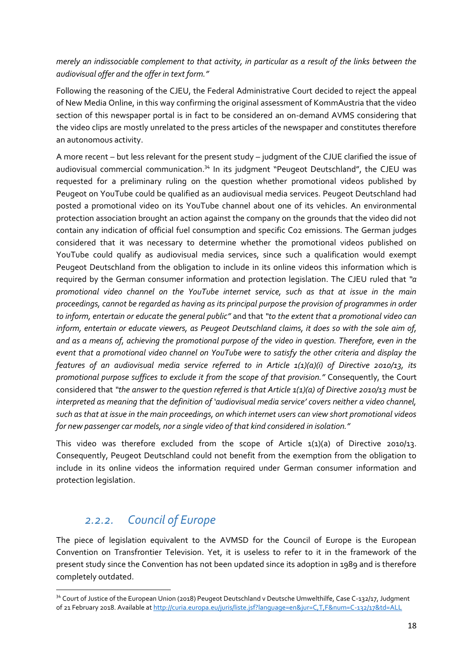*merely an indissociable complement to that activity, in particular as a result of the links between the audiovisual offer and the offer in text form."*

Following the reasoning of the CJEU, the Federal Administrative Court decided to reject the appeal of New Media Online, in this way confirming the original assessment of KommAustria that the video section of this newspaper portal is in fact to be considered an on-demand AVMS considering that the video clips are mostly unrelated to the press articles of the newspaper and constitutes therefore an autonomous activity.

A more recent – but less relevant for the present study – judgment of the CJUE clarified the issue of audiovisual commercial communication.<sup>34</sup> In its judgment "Peugeot Deutschland", the CJEU was requested for a preliminary ruling on the question whether promotional videos published by Peugeot on YouTube could be qualified as an audiovisual media services. Peugeot Deutschland had posted a promotional video on its YouTube channel about one of its vehicles. An environmental protection association brought an action against the company on the grounds that the video did not contain any indication of official fuel consumption and specific Co2 emissions. The German judges considered that it was necessary to determine whether the promotional videos published on YouTube could qualify as audiovisual media services, since such a qualification would exempt Peugeot Deutschland from the obligation to include in its online videos this information which is required by the German consumer information and protection legislation. The CJEU ruled that *"a promotional video channel on the YouTube internet service, such as that at issue in the main proceedings, cannot be regarded as having as its principal purpose the provision of programmes in order to inform, entertain or educate the general public"* and that *"to the extent that a promotional video can inform, entertain or educate viewers, as Peugeot Deutschland claims, it does so with the sole aim of, and as a means of, achieving the promotional purpose of the video in question. Therefore, even in the event that a promotional video channel on YouTube were to satisfy the other criteria and display the features of an audiovisual media service referred to in Article 1(1)(a)(i) of Directive 2010/13, its promotional purpose suffices to exclude it from the scope of that provision."* Consequently, the Court considered that *"the answer to the question referred is that Article 1(1)(a) of Directive 2010/13 must be interpreted as meaning that the definition of 'audiovisual media service' covers neither a video channel, such as that at issue in the main proceedings, on which internet users can view short promotional videos for new passenger car models, nor a single video of that kind considered in isolation."*

This video was therefore excluded from the scope of Article  $1(1)(a)$  of Directive 2010/13. Consequently, Peugeot Deutschland could not benefit from the exemption from the obligation to include in its online videos the information required under German consumer information and protection legislation.

### *2.2.2. Council of Europe*

**.** 

<span id="page-17-0"></span>The piece of legislation equivalent to the AVMSD for the Council of Europe is the European Convention on Transfrontier Television. Yet, it is useless to refer to it in the framework of the present study since the Convention has not been updated since its adoption in 1989 and is therefore completely outdated.

<sup>&</sup>lt;sup>34</sup> Court of Justice of the European Union (2018) Peugeot Deutschland v Deutsche Umwelthilfe, Case C-132/17, Judgment of 21 February 2018. Available a[t http://curia.europa.eu/juris/liste.jsf?language=en&jur=C,T,F&num=C-132/17&td=ALL](http://curia.europa.eu/juris/liste.jsf?language=en&jur=C,T,F&num=C-132/17&td=ALL)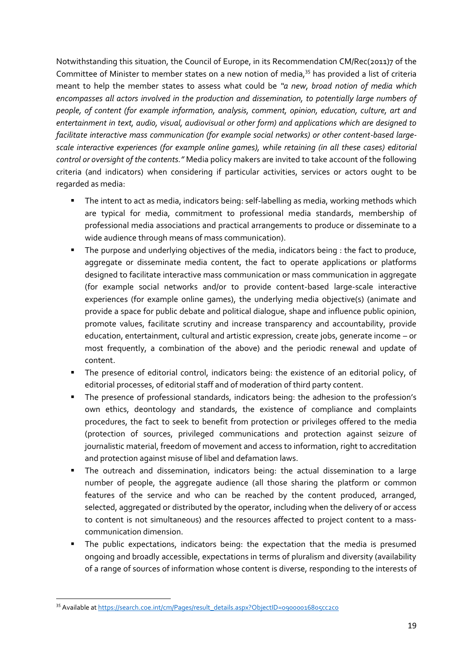Notwithstanding this situation, the Council of Europe, in its Recommendation CM/Rec(2011)7 of the Committee of Minister to member states on a new notion of media,<sup>35</sup> has provided a list of criteria meant to help the member states to assess what could be *"a new, broad notion of media which encompasses all actors involved in the production and dissemination, to potentially large numbers of people, of content (for example information, analysis, comment, opinion, education, culture, art and entertainment in text, audio, visual, audiovisual or other form) and applications which are designed to facilitate interactive mass communication (for example social networks) or other content-based largescale interactive experiences (for example online games), while retaining (in all these cases) editorial control or oversight of the contents."* Media policy makers are invited to take account of the following criteria (and indicators) when considering if particular activities, services or actors ought to be regarded as media:

- The intent to act as media, indicators being: self-labelling as media, working methods which are typical for media, commitment to professional media standards, membership of professional media associations and practical arrangements to produce or disseminate to a wide audience through means of mass communication).
- The purpose and underlying objectives of the media, indicators being : the fact to produce, aggregate or disseminate media content, the fact to operate applications or platforms designed to facilitate interactive mass communication or mass communication in aggregate (for example social networks and/or to provide content-based large-scale interactive experiences (for example online games), the underlying media objective(s) (animate and provide a space for public debate and political dialogue, shape and influence public opinion, promote values, facilitate scrutiny and increase transparency and accountability, provide education, entertainment, cultural and artistic expression, create jobs, generate income – or most frequently, a combination of the above) and the periodic renewal and update of content.
- The presence of editorial control, indicators being: the existence of an editorial policy, of editorial processes, of editorial staff and of moderation of third party content.
- The presence of professional standards, indicators being: the adhesion to the profession's own ethics, deontology and standards, the existence of compliance and complaints procedures, the fact to seek to benefit from protection or privileges offered to the media (protection of sources, privileged communications and protection against seizure of journalistic material, freedom of movement and access to information, right to accreditation and protection against misuse of libel and defamation laws.
- The outreach and dissemination, indicators being: the actual dissemination to a large number of people, the aggregate audience (all those sharing the platform or common features of the service and who can be reached by the content produced, arranged, selected, aggregated or distributed by the operator, including when the delivery of or access to content is not simultaneous) and the resources affected to project content to a masscommunication dimension.
- The public expectations, indicators being: the expectation that the media is presumed ongoing and broadly accessible, expectations in terms of pluralism and diversity (availability of a range of sources of information whose content is diverse, responding to the interests of

**<sup>.</sup>** 35 Available a[t https://search.coe.int/cm/Pages/result\\_details.aspx?ObjectID=09000016805cc2c0](https://search.coe.int/cm/Pages/result_details.aspx?ObjectID=09000016805cc2c0)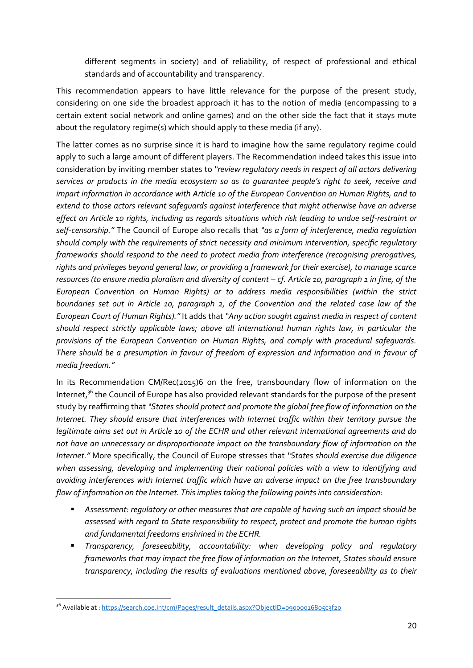different segments in society) and of reliability, of respect of professional and ethical standards and of accountability and transparency.

This recommendation appears to have little relevance for the purpose of the present study, considering on one side the broadest approach it has to the notion of media (encompassing to a certain extent social network and online games) and on the other side the fact that it stays mute about the regulatory regime(s) which should apply to these media (if any).

The latter comes as no surprise since it is hard to imagine how the same regulatory regime could apply to such a large amount of different players. The Recommendation indeed takes this issue into consideration by inviting member states to *"review regulatory needs in respect of all actors delivering services or products in the media ecosystem so as to guarantee people's right to seek, receive and impart information in accordance with Article 10 of the European Convention on Human Rights, and to extend to those actors relevant safeguards against interference that might otherwise have an adverse effect on Article 10 rights, including as regards situations which risk leading to undue self-restraint or self-censorship."* The Council of Europe also recalls that *"as a form of interference, media regulation should comply with the requirements of strict necessity and minimum intervention, specific regulatory frameworks should respond to the need to protect media from interference (recognising prerogatives, rights and privileges beyond general law, or providing a framework for their exercise), to manage scarce resources (to ensure media pluralism and diversity of content – cf. Article 10, paragraph 1 in fine, of the European Convention on Human Rights) or to address media responsibilities (within the strict boundaries set out in Article 10, paragraph 2, of the Convention and the related case law of the European Court of Human Rights)."* It adds that *"Any action sought against media in respect of content should respect strictly applicable laws; above all international human rights law, in particular the provisions of the European Convention on Human Rights, and comply with procedural safeguards. There should be a presumption in favour of freedom of expression and information and in favour of media freedom."*

In its Recommendation CM/Rec(2015)6 on the free, transboundary flow of information on the Internet, $3^6$  the Council of Europe has also provided relevant standards for the purpose of the present study by reaffirming that *"States should protect and promote the global free flow of information on the Internet. They should ensure that interferences with Internet traffic within their territory pursue the legitimate aims set out in Article 10 of the ECHR and other relevant international agreements and do not have an unnecessary or disproportionate impact on the transboundary flow of information on the Internet."* More specifically, the Council of Europe stresses that *"States should exercise due diligence when assessing, developing and implementing their national policies with a view to identifying and avoiding interferences with Internet traffic which have an adverse impact on the free transboundary flow of information on the Internet. This implies taking the following points into consideration:*

- *Assessment: regulatory or other measures that are capable of having such an impact should be assessed with regard to State responsibility to respect, protect and promote the human rights and fundamental freedoms enshrined in the ECHR.*
- *Transparency, foreseeability, accountability: when developing policy and regulatory frameworks that may impact the free flow of information on the Internet, States should ensure transparency, including the results of evaluations mentioned above, foreseeability as to their*

**<sup>.</sup>** <sup>36</sup> Available at : <u>https://search.coe.int/cm/Pages/result\_details.aspx?ObjectID=09000016805c3f20</u>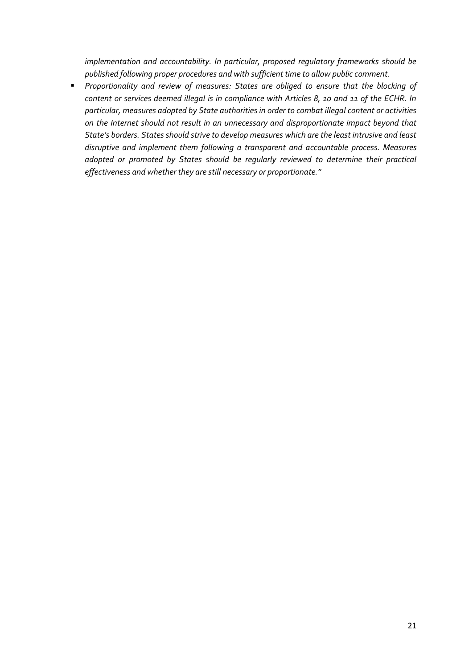*implementation and accountability. In particular, proposed regulatory frameworks should be published following proper procedures and with sufficient time to allow public comment.*

 *Proportionality and review of measures: States are obliged to ensure that the blocking of content or services deemed illegal is in compliance with Articles 8, 10 and 11 of the ECHR. In particular, measures adopted by State authorities in order to combat illegal content or activities on the Internet should not result in an unnecessary and disproportionate impact beyond that State's borders. States should strive to develop measures which are the least intrusive and least disruptive and implement them following a transparent and accountable process. Measures adopted or promoted by States should be regularly reviewed to determine their practical effectiveness and whether they are still necessary or proportionate."*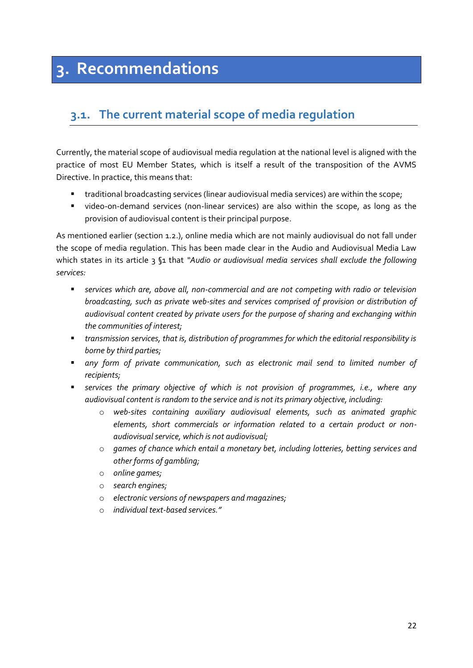# <span id="page-21-0"></span>**3. Recommendations**

# <span id="page-21-1"></span>**3.1. The current material scope of media regulation**

Currently, the material scope of audiovisual media regulation at the national level is aligned with the practice of most EU Member States, which is itself a result of the transposition of the AVMS Directive. In practice, this means that:

- **The aditional broadcasting services (linear audiovisual media services) are within the scope;**
- video-on-demand services (non-linear services) are also within the scope, as long as the provision of audiovisual content is their principal purpose.

As mentioned earlier (section 1.2.), online media which are not mainly audiovisual do not fall under the scope of media regulation. This has been made clear in the Audio and Audiovisual Media Law which states in its article 3 §1 that *"Audio or audiovisual media services shall exclude the following services:* 

- *services which are, above all, non-commercial and are not competing with radio or television broadcasting, such as private web-sites and services comprised of provision or distribution of audiovisual content created by private users for the purpose of sharing and exchanging within the communities of interest;*
- *transmission services, that is, distribution of programmes for which the editorial responsibility is borne by third parties;*
- *any form of private communication, such as electronic mail send to limited number of recipients;*
- *services the primary objective of which is not provision of programmes, i.e., where any audiovisual content is random to the service and is not its primary objective, including:*
	- o *web-sites containing auxiliary audiovisual elements, such as animated graphic elements, short commercials or information related to a certain product or nonaudiovisual service, which is not audiovisual;*
	- o *games of chance which entail a monetary bet, including lotteries, betting services and other forms of gambling;*
	- o *online games;*
	- o *search engines;*
	- o *electronic versions of newspapers and magazines;*
	- o *individual text-based services."*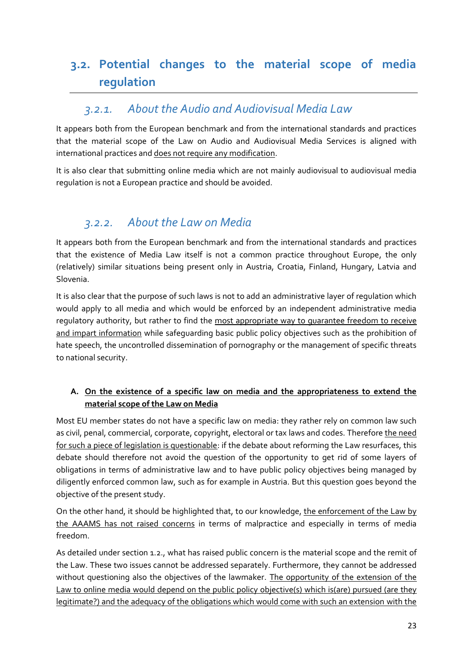# <span id="page-22-0"></span>**3.2. Potential changes to the material scope of media regulation**

## *3.2.1. About the Audio and Audiovisual Media Law*

<span id="page-22-1"></span>It appears both from the European benchmark and from the international standards and practices that the material scope of the Law on Audio and Audiovisual Media Services is aligned with international practices and does not require any modification.

It is also clear that submitting online media which are not mainly audiovisual to audiovisual media regulation is not a European practice and should be avoided.

# *3.2.2. About the Law on Media*

<span id="page-22-2"></span>It appears both from the European benchmark and from the international standards and practices that the existence of Media Law itself is not a common practice throughout Europe, the only (relatively) similar situations being present only in Austria, Croatia, Finland, Hungary, Latvia and Slovenia.

It is also clear that the purpose of such laws is not to add an administrative layer of regulation which would apply to all media and which would be enforced by an independent administrative media regulatory authority, but rather to find the most appropriate way to guarantee freedom to receive and impart information while safequarding basic public policy objectives such as the prohibition of hate speech, the uncontrolled dissemination of pornography or the management of specific threats to national security.

### **A. On the existence of a specific law on media and the appropriateness to extend the material scope of the Law on Media**

Most EU member states do not have a specific law on media: they rather rely on common law such as civil, penal, commercial, corporate, copyright, electoral or tax laws and codes. Therefore the need for such a piece of legislation is questionable: if the debate about reforming the Law resurfaces, this debate should therefore not avoid the question of the opportunity to get rid of some layers of obligations in terms of administrative law and to have public policy objectives being managed by diligently enforced common law, such as for example in Austria. But this question goes beyond the objective of the present study.

On the other hand, it should be highlighted that, to our knowledge, the enforcement of the Law by the AAAMS has not raised concerns in terms of malpractice and especially in terms of media freedom.

As detailed under section 1.2., what has raised public concern is the material scope and the remit of the Law. These two issues cannot be addressed separately. Furthermore, they cannot be addressed without questioning also the objectives of the lawmaker. The opportunity of the extension of the Law to online media would depend on the public policy objective(s) which is(are) pursued (are they legitimate?) and the adequacy of the obligations which would come with such an extension with the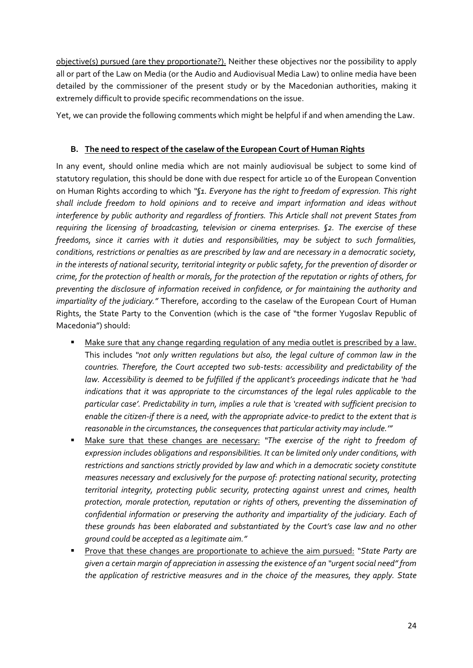objective(s) pursued (are they proportionate?). Neither these objectives nor the possibility to apply all or part of the Law on Media (or the Audio and Audiovisual Media Law) to online media have been detailed by the commissioner of the present study or by the Macedonian authorities, making it extremely difficult to provide specific recommendations on the issue.

Yet, we can provide the following comments which might be helpful if and when amending the Law.

#### **B. The need to respect of the caselaw of the European Court of Human Rights**

In any event, should online media which are not mainly audiovisual be subject to some kind of statutory regulation, this should be done with due respect for article 10 of the European Convention on Human Rights according to which *"§1. Everyone has the right to freedom of expression. This right shall include freedom to hold opinions and to receive and impart information and ideas without interference by public authority and regardless of frontiers. This Article shall not prevent States from requiring the licensing of broadcasting, television or cinema enterprises. §2. The exercise of these freedoms, since it carries with it duties and responsibilities, may be subject to such formalities, conditions, restrictions or penalties as are prescribed by law and are necessary in a democratic society, in the interests of national security, territorial integrity or public safety, for the prevention of disorder or crime, for the protection of health or morals, for the protection of the reputation or rights of others, for preventing the disclosure of information received in confidence, or for maintaining the authority and impartiality of the judiciary."* Therefore, according to the caselaw of the European Court of Human Rights, the State Party to the Convention (which is the case of "the former Yugoslav Republic of Macedonia") should:

- Make sure that any change regarding regulation of any media outlet is prescribed by a law. This includes *"not only written regulations but also, the legal culture of common law in the countries. Therefore, the Court accepted two sub-tests: accessibility and predictability of the law. Accessibility is deemed to be fulfilled if the applicant's proceedings indicate that he 'had indications that it was appropriate to the circumstances of the legal rules applicable to the particular case'. Predictability in turn, implies a rule that is 'created with sufficient precision to enable the citizen-if there is a need, with the appropriate advice-to predict to the extent that is reasonable in the circumstances, the consequences that particular activity may include.'"*
- Make sure that these changes are necessary: *"The exercise of the right to freedom of expression includes obligations and responsibilities. It can be limited only under conditions, with restrictions and sanctions strictly provided by law and which in a democratic society constitute measures necessary and exclusively for the purpose of: protecting national security, protecting territorial integrity, protecting public security, protecting against unrest and crimes, health protection, morale protection, reputation or rights of others, preventing the dissemination of confidential information or preserving the authority and impartiality of the judiciary. Each of these grounds has been elaborated and substantiated by the Court's case law and no other ground could be accepted as a legitimate aim."*
- Prove that these changes are proportionate to achieve the aim pursued: "*State Party are given a certain margin of appreciation in assessing the existence of an "urgent social need" from the application of restrictive measures and in the choice of the measures, they apply. State*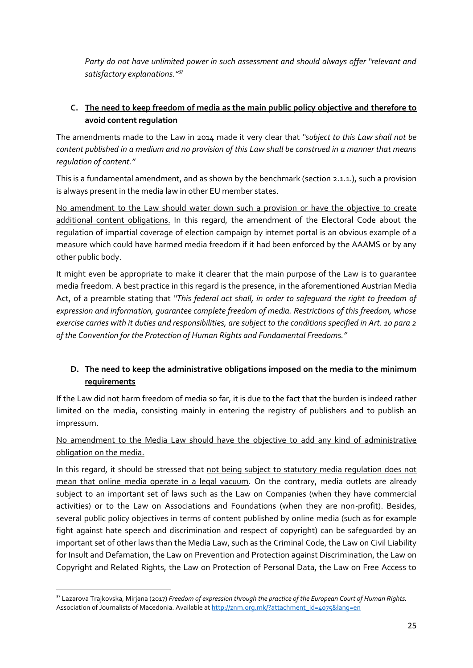*Party do not have unlimited power in such assessment and should always offer "relevant and satisfactory explanations."*<sup>37</sup>

#### **C. The need to keep freedom of media as the main public policy objective and therefore to avoid content regulation**

The amendments made to the Law in 2014 made it very clear that *"subject to this Law shall not be content published in a medium and no provision of this Law shall be construed in a manner that means regulation of content."*

This is a fundamental amendment, and as shown by the benchmark (section 2.1.1.), such a provision is always present in the media law in other EU member states.

No amendment to the Law should water down such a provision or have the objective to create additional content obligations. In this regard, the amendment of the Electoral Code about the regulation of impartial coverage of election campaign by internet portal is an obvious example of a measure which could have harmed media freedom if it had been enforced by the AAAMS or by any other public body.

It might even be appropriate to make it clearer that the main purpose of the Law is to guarantee media freedom. A best practice in this regard is the presence, in the aforementioned Austrian Media Act, of a preamble stating that *"This federal act shall, in order to safeguard the right to freedom of expression and information, guarantee complete freedom of media. Restrictions of this freedom, whose exercise carries with it duties and responsibilities, are subject to the conditions specified in Art. 10 para 2 of the Convention for the Protection of Human Rights and Fundamental Freedoms."*

### **D. The need to keep the administrative obligations imposed on the media to the minimum requirements**

If the Law did not harm freedom of media so far, it is due to the fact that the burden is indeed rather limited on the media, consisting mainly in entering the registry of publishers and to publish an impressum.

No amendment to the Media Law should have the objective to add any kind of administrative obligation on the media.

In this regard, it should be stressed that not being subject to statutory media regulation does not mean that online media operate in a legal vacuum. On the contrary, media outlets are already subject to an important set of laws such as the Law on Companies (when they have commercial activities) or to the Law on Associations and Foundations (when they are non-profit). Besides, several public policy objectives in terms of content published by online media (such as for example fight against hate speech and discrimination and respect of copyright) can be safeguarded by an important set of other laws than the Media Law, such as the Criminal Code, the Law on Civil Liability for Insult and Defamation, the Law on Prevention and Protection against Discrimination, the Law on Copyright and Related Rights, the Law on Protection of Personal Data, the Law on Free Access to

<sup>37</sup> Lazarova Trajkovska, Mirjana (2017) *Freedom of expression through the practice of the European Court of Human Rights.* Association of Journalists of Macedonia. Available a[t http://znm.org.mk/?attachment\\_id=4075&lang=en](http://znm.org.mk/?attachment_id=4075&lang=en)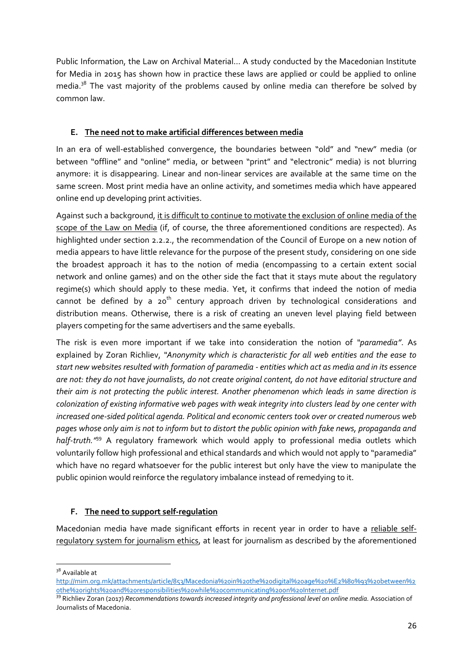Public Information, the Law on Archival Material… A study conducted by the Macedonian Institute for Media in 2015 has shown how in practice these laws are applied or could be applied to online media. $38$  The vast majority of the problems caused by online media can therefore be solved by common law.

#### **E. The need not to make artificial differences between media**

In an era of well-established convergence, the boundaries between "old" and "new" media (or between "offline" and "online" media, or between "print" and "electronic" media) is not blurring anymore: it is disappearing. Linear and non-linear services are available at the same time on the same screen. Most print media have an online activity, and sometimes media which have appeared online end up developing print activities.

Against such a background, it is difficult to continue to motivate the exclusion of online media of the scope of the Law on Media (if, of course, the three aforementioned conditions are respected). As highlighted under section 2.2.2., the recommendation of the Council of Europe on a new notion of media appears to have little relevance for the purpose of the present study, considering on one side the broadest approach it has to the notion of media (encompassing to a certain extent social network and online games) and on the other side the fact that it stays mute about the regulatory regime(s) which should apply to these media. Yet, it confirms that indeed the notion of media cannot be defined by a  $20<sup>th</sup>$  century approach driven by technological considerations and distribution means. Otherwise, there is a risk of creating an uneven level playing field between players competing for the same advertisers and the same eyeballs.

The risk is even more important if we take into consideration the notion of *"paramedia"*. As explained by Zoran Richliev, *"Anonymity which is characteristic for all web entities and the ease to start new websites resulted with formation of paramedia - entities which act as media and in its essence are not: they do not have journalists, do not create original content, do not have editorial structure and their aim is not protecting the public interest. Another phenomenon which leads in same direction is colonization of existing informative web pages with weak integrity into clusters lead by one center with increased one-sided political agenda. Political and economic centers took over or created numerous web pages whose only aim is not to inform but to distort the public opinion with fake news, propaganda and half-truth."*<sup>39</sup> A regulatory framework which would apply to professional media outlets which voluntarily follow high professional and ethical standards and which would not apply to "paramedia" which have no regard whatsoever for the public interest but only have the view to manipulate the public opinion would reinforce the regulatory imbalance instead of remedying to it.

#### **F. The need to support self-regulation**

Macedonian media have made significant efforts in recent year in order to have a reliable selfregulatory system for journalism ethics, at least for journalism as described by the aforementioned

**<sup>.</sup>** <sup>38</sup> Available at

[http://mim.org.mk/attachments/article/853/Macedonia%20in%20the%20digital%20age%20%E2%80%93%20between%2](http://mim.org.mk/attachments/article/853/Macedonia%20in%20the%20digital%20age%20%E2%80%93%20between%20the%20rights%20and%20responsibilities%20while%20communicating%20on%20Internet.pdf) [0the%20rights%20and%20responsibilities%20while%20communicating%20on%20Internet.pdf](http://mim.org.mk/attachments/article/853/Macedonia%20in%20the%20digital%20age%20%E2%80%93%20between%20the%20rights%20and%20responsibilities%20while%20communicating%20on%20Internet.pdf)

<sup>39</sup> Richliev Zoran (2017) *Recommendations towards increased integrity and professional level on online media.* Association of Journalists of Macedonia.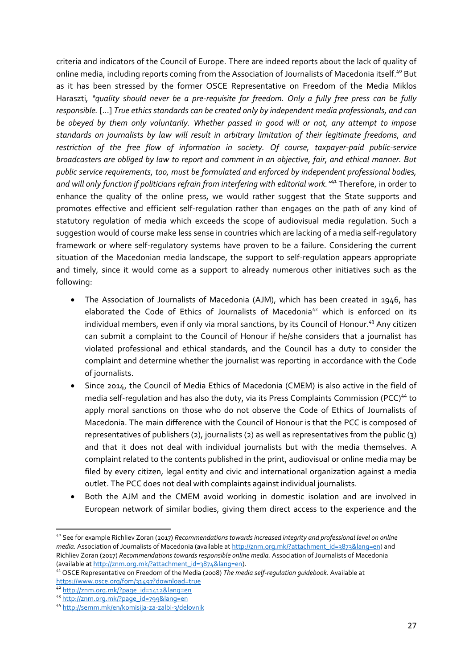criteria and indicators of the Council of Europe. There are indeed reports about the lack of quality of online media, including reports coming from the Association of Journalists of Macedonia itself.<sup>40</sup> But as it has been stressed by the former OSCE Representative on Freedom of the Media Miklos Haraszti*, "quality should never be a pre-requisite for freedom. Only a fully free press can be fully responsible.* […] *True ethics standards can be created only by independent media professionals, and can be obeyed by them only voluntarily. Whether passed in good will or not, any attempt to impose standards on journalists by law will result in arbitrary limitation of their legitimate freedoms, and restriction of the free flow of information in society. Of course, taxpayer-paid public-service broadcasters are obliged by law to report and comment in an objective, fair, and ethical manner. But public service requirements, too, must be formulated and enforced by independent professional bodies, and will only function if politicians refrain from interfering with editorial work."* <sup>41</sup> Therefore, in order to enhance the quality of the online press, we would rather suggest that the State supports and promotes effective and efficient self-regulation rather than engages on the path of any kind of statutory regulation of media which exceeds the scope of audiovisual media regulation. Such a suggestion would of course make less sense in countries which are lacking of a media self-regulatory framework or where self-regulatory systems have proven to be a failure. Considering the current situation of the Macedonian media landscape, the support to self-regulation appears appropriate and timely, since it would come as a support to already numerous other initiatives such as the following:

- The Association of Journalists of Macedonia (AJM), which has been created in 1946, has elaborated the Code of Ethics of Journalists of Macedonia<sup>42</sup> which is enforced on its individual members, even if only via moral sanctions, by its Council of Honour. <sup>43</sup> Any citizen can submit a complaint to the Council of Honour if he/she considers that a journalist has violated professional and ethical standards, and the Council has a duty to consider the complaint and determine whether the journalist was reporting in accordance with the Code of journalists.
- Since 2014, the Council of Media Ethics of Macedonia (CMEM) is also active in the field of media self-regulation and has also the duty, via its Press Complaints Commission (PCC)<sup>44</sup> to apply moral sanctions on those who do not observe the Code of Ethics of Journalists of Macedonia. The main difference with the Council of Honour is that the PCC is composed of representatives of publishers (2), journalists (2) as well as representatives from the public (3) and that it does not deal with individual journalists but with the media themselves. A complaint related to the contents published in the print, audiovisual or online media may be filed by every citizen, legal entity and civic and international organization against a media outlet. The PCC does not deal with complaints against individual journalists.
- Both the AJM and the CMEM avoid working in domestic isolation and are involved in European network of similar bodies, giving them direct access to the experience and the

<sup>40</sup> See for example Richliev Zoran (2017) *Recommendations towards increased integrity and professional level on online media.* Association of Journalists of Macedonia (available a[t http://znm.org.mk/?attachment\\_id=3873&lang=en\)](http://znm.org.mk/?attachment_id=3873&lang=en) and Richliev Zoran (2017) *Recommendations towards responsible online media.* Association of Journalists of Macedonia (available a[t http://znm.org.mk/?attachment\\_id=3874&lang=en\)](http://znm.org.mk/?attachment_id=3874&lang=en).

<sup>41</sup> OSCE Representative on Freedom of the Media (2008) *The media self-regulation guidebook.* Available at <https://www.osce.org/fom/31497?download=true>

<sup>42</sup> [http://znm.org.mk/?page\\_id=1412&lang=en](http://znm.org.mk/?page_id=1412&lang=en)

<sup>43</sup> [http://znm.org.mk/?page\\_id=799&lang=en](http://znm.org.mk/?page_id=799&lang=en)

<sup>44</sup> <http://semm.mk/en/komisija-za-zalbi-3/delovnik>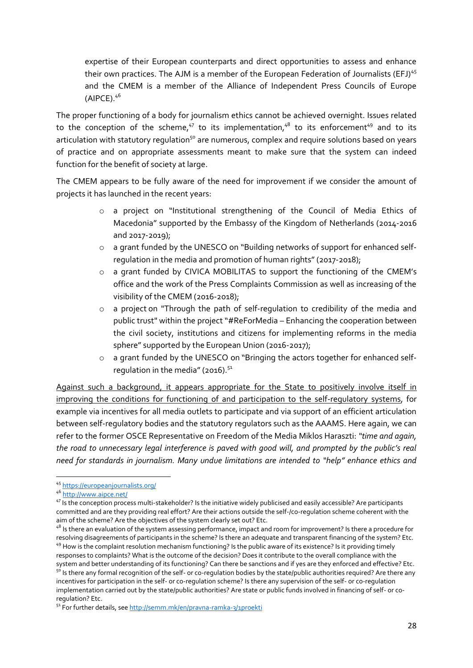expertise of their European counterparts and direct opportunities to assess and enhance their own practices. The AJM is a member of the European Federation of Journalists (EFJ)<sup>45</sup> and the CMEM is a member of the Alliance of Independent Press Councils of Europe  $(AIPCE)$ .  $4^6$ 

The proper functioning of a body for journalism ethics cannot be achieved overnight. Issues related to the conception of the scheme, $47$  to its implementation, $48$  to its enforcement $49$  and to its articulation with statutory regulation<sup>50</sup> are numerous, complex and require solutions based on years of practice and on appropriate assessments meant to make sure that the system can indeed function for the benefit of society at large.

The CMEM appears to be fully aware of the need for improvement if we consider the amount of projects it has launched in the recent years:

- o a project on "Institutional strengthening of the Council of Media Ethics of Macedonia" supported by the Embassy of the Kingdom of Netherlands (2014-2016 and 2017-2019);
- o a grant funded by the UNESCO on "Building networks of support for enhanced selfregulation in the media and promotion of human rights" (2017-2018);
- o a grant funded by CIVICA MOBILITAS to support the functioning of the CMEM's office and the work of the Press Complaints Commission as well as increasing of the visibility of the CMEM (2016-2018);
- $\circ$  a project on "Through the path of self-regulation to credibility of the media and public trust" within the project "#ReForMedia – Enhancing the cooperation between the civil society, institutions and citizens for implementing reforms in the media sphere" supported by the European Union (2016-2017);
- o a grant funded by the UNESCO on "Bringing the actors together for enhanced selfregulation in the media" (2016). $51$

Against such a background, it appears appropriate for the State to positively involve itself in improving the conditions for functioning of and participation to the self-regulatory systems, for example via incentives for all media outlets to participate and via support of an efficient articulation between self-regulatory bodies and the statutory regulators such as the AAAMS. Here again, we can refer to the former OSCE Representative on Freedom of the Media Miklos Haraszti: *"time and again, the road to unnecessary legal interference is paved with good will, and prompted by the public's real need for standards in journalism. Many undue limitations are intended to "help" enhance ethics and* 

<sup>45</sup> <https://europeanjournalists.org/>

<sup>46</sup> <http://www.aipce.net/>

<sup>47</sup> Is the conception process multi-stakeholder? Is the initiative widely publicised and easily accessible? Are participants committed and are they providing real effort? Are their actions outside the self-/co-regulation scheme coherent with the aim of the scheme? Are the objectives of the system clearly set out? Etc.

<sup>48</sup> Is there an evaluation of the system assessing performance, impact and room for improvement? Is there a procedure for resolving disagreements of participants in the scheme? Is there an adequate and transparent financing of the system? Etc. <sup>49</sup> How is the complaint resolution mechanism functioning? Is the public aware of its existence? Is it providing timely responses to complaints? What is the outcome of the decision? Does it contribute to the overall compliance with the system and better understanding of its functioning? Can there be sanctions and if yes are they enforced and effective? Etc. <sup>50</sup> Is there any formal recognition of the self- or co-regulation bodies by the state/public authorities required? Are there any incentives for participation in the self- or co-regulation scheme? Is there any supervision of the self- or co-regulation implementation carried out by the state/public authorities? Are state or public funds involved in financing of self- or coregulation? Etc.

<sup>51</sup> For further details, se[e http://semm.mk/en/pravna-ramka-3/1proekti](http://semm.mk/en/pravna-ramka-3/1proekti)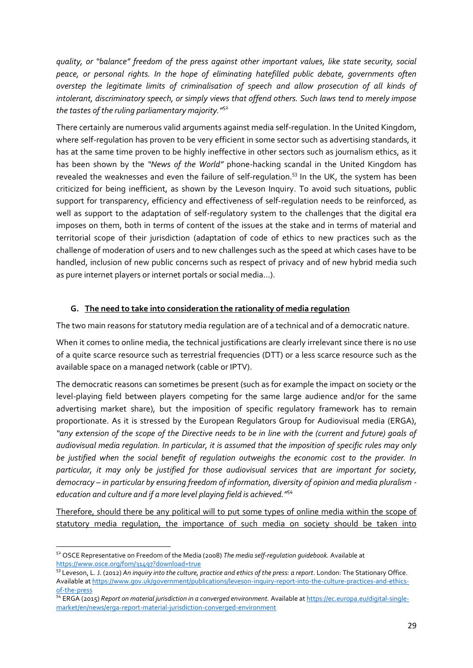*quality, or "balance" freedom of the press against other important values, like state security, social peace, or personal rights. In the hope of eliminating hatefilled public debate, governments often overstep the legitimate limits of criminalisation of speech and allow prosecution of all kinds of intolerant, discriminatory speech, or simply views that offend others. Such laws tend to merely impose the tastes of the ruling parliamentary majority."*<sup>52</sup>

There certainly are numerous valid arguments against media self-regulation. In the United Kingdom, where self-regulation has proven to be very efficient in some sector such as advertising standards, it has at the same time proven to be highly ineffective in other sectors such as journalism ethics, as it has been shown by the *"News of the World"* phone-hacking scandal in the United Kingdom has revealed the weaknesses and even the failure of self-regulation.<sup>53</sup> In the UK, the system has been criticized for being inefficient, as shown by the Leveson Inquiry. To avoid such situations, public support for transparency, efficiency and effectiveness of self-regulation needs to be reinforced, as well as support to the adaptation of self-regulatory system to the challenges that the digital era imposes on them, both in terms of content of the issues at the stake and in terms of material and territorial scope of their jurisdiction (adaptation of code of ethics to new practices such as the challenge of moderation of users and to new challenges such as the speed at which cases have to be handled, inclusion of new public concerns such as respect of privacy and of new hybrid media such as pure internet players or internet portals or social media…).

#### **G. The need to take into consideration the rationality of media regulation**

The two main reasons for statutory media regulation are of a technical and of a democratic nature.

When it comes to online media, the technical justifications are clearly irrelevant since there is no use of a quite scarce resource such as terrestrial frequencies (DTT) or a less scarce resource such as the available space on a managed network (cable or IPTV).

The democratic reasons can sometimes be present (such as for example the impact on society or the level-playing field between players competing for the same large audience and/or for the same advertising market share), but the imposition of specific regulatory framework has to remain proportionate. As it is stressed by the European Regulators Group for Audiovisual media (ERGA), *"any extension of the scope of the Directive needs to be in line with the (current and future) goals of audiovisual media regulation. In particular, it is assumed that the imposition of specific rules may only be justified when the social benefit of regulation outweighs the economic cost to the provider. In particular, it may only be justified for those audiovisual services that are important for society, democracy – in particular by ensuring freedom of information, diversity of opinion and media pluralism education and culture and if a more level playing field is achieved."*<sup>54</sup>

Therefore, should there be any political will to put some types of online media within the scope of statutory media regulation, the importance of such media on society should be taken into

<sup>1</sup> <sup>52</sup> OSCE Representative on Freedom of the Media (2008) *The media self-regulation guidebook.* Available at <https://www.osce.org/fom/31497?download=true>

<sup>53</sup> Leveson, L. J. (2012) *An inquiry into the culture, practice and ethics of the press: a report*. London: The Stationary Office. Available a[t https://www.gov.uk/government/publications/leveson-inquiry-report-into-the-culture-practices-and-ethics](https://www.gov.uk/government/publications/leveson-inquiry-report-into-the-culture-practices-and-ethics-of-the-press)[of-the-press](https://www.gov.uk/government/publications/leveson-inquiry-report-into-the-culture-practices-and-ethics-of-the-press)

<sup>54</sup> ERGA (2015) *Report on material jurisdiction in a converged environment.* Available a[t https://ec.europa.eu/digital-single](https://ec.europa.eu/digital-single-market/en/news/erga-report-material-jurisdiction-converged-environment)[market/en/news/erga-report-material-jurisdiction-converged-environment](https://ec.europa.eu/digital-single-market/en/news/erga-report-material-jurisdiction-converged-environment)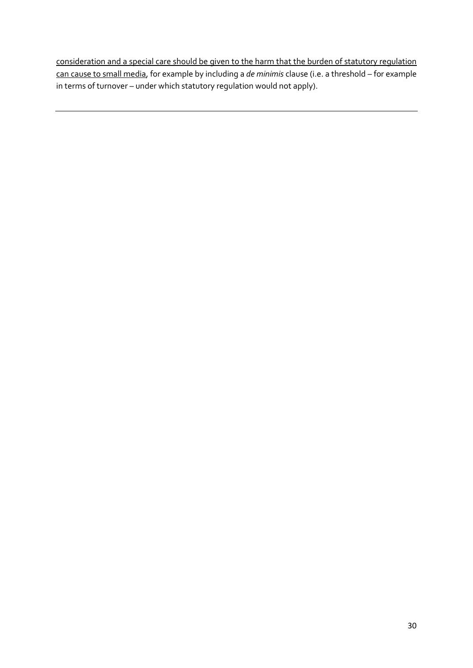consideration and a special care should be given to the harm that the burden of statutory regulation can cause to small media, for example by including a *de minimis* clause (i.e. a threshold – for example in terms of turnover – under which statutory regulation would not apply).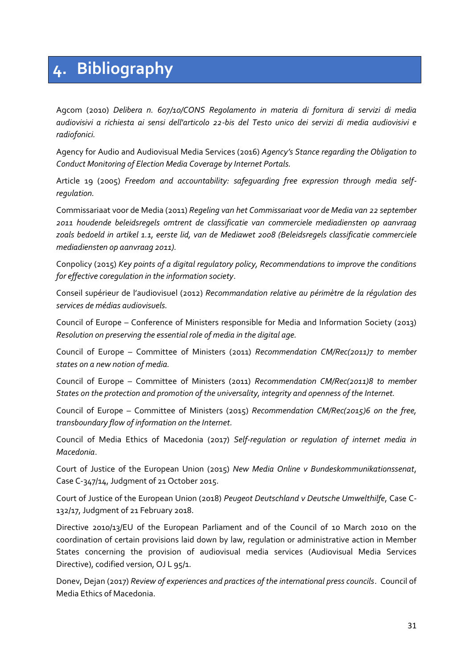# <span id="page-30-0"></span>**4. Bibliography**

Agcom (2010) *Delibera n. 607/10/CONS Regolamento in materia di fornitura di servizi di media audiovisivi a richiesta ai sensi dell'articolo 22-bis del Testo unico dei servizi di media audiovisivi e radiofonici.* 

Agency for Audio and Audiovisual Media Services (2016) *Agency's Stance regarding the Obligation to Conduct Monitoring of Election Media Coverage by Internet Portals.*

Article 19 (2005) *Freedom and accountability: safeguarding free expression through media selfregulation.*

Commissariaat voor de Media (2011) *Regeling van het Commissariaat voor de Media van 22 september 2011 houdende beleidsregels omtrent de classificatie van commerciele mediadiensten op aanvraag zoals bedoeld in artikel 1.1, eerste lid, van de Mediawet 2008 (Beleidsregels classificatie commerciele mediadiensten op aanvraag 2011).*

Conpolicy (2015) *Key points of a digital regulatory policy, Recommendations to improve the conditions for effective coregulation in the information society*.

Conseil supérieur de l'audiovisuel (2012) *Recommandation relative au périmètre de la régulation des services de médias audiovisuels.*

Council of Europe – Conference of Ministers responsible for Media and Information Society (2013) *Resolution on preserving the essential role of media in the digital age.*

Council of Europe – Committee of Ministers (2011) *Recommendation CM/Rec(2011)7 to member states on a new notion of media.*

Council of Europe – Committee of Ministers (2011) *Recommendation CM/Rec(2011)8 to member States on the protection and promotion of the universality, integrity and openness of the Internet.*

Council of Europe – Committee of Ministers (2015) *Recommendation CM/Rec(2015)6 on the free, transboundary flow of information on the Internet.*

Council of Media Ethics of Macedonia (2017) *Self-regulation or regulation of internet media in Macedonia*.

Court of Justice of the European Union (2015) *New Media Online v Bundeskommunikationssenat*, Case C-347/14, Judgment of 21 October 2015.

Court of Justice of the European Union (2018) *Peugeot Deutschland v Deutsche Umwelthilfe*, Case C-132/17, Judgment of 21 February 2018.

Directive 2010/13/EU of the European Parliament and of the Council of 10 March 2010 on the coordination of certain provisions laid down by law, regulation or administrative action in Member States concerning the provision of audiovisual media services (Audiovisual Media Services Directive), codified version, OJ L 95/1.

Donev, Dejan (2017) *Review of experiences and practices of the international press councils*. Council of Media Ethics of Macedonia.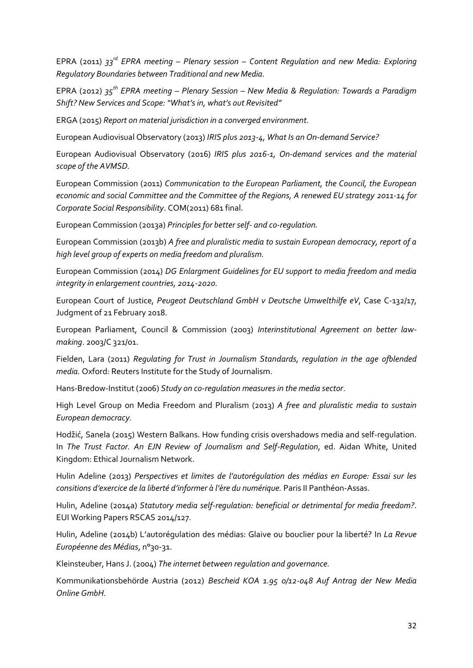EPRA (2011) *33rd EPRA meeting – Plenary session – Content Regulation and new Media: Exploring Regulatory Boundaries between Traditional and new Media.*

EPRA (2012) *35th EPRA meeting – Plenary Session – New Media & Regulation: Towards a Paradigm Shift? New Services and Scope: "What's in, what's out Revisited"*

ERGA (2015) *Report on material jurisdiction in a converged environment.*

European Audiovisual Observatory (2013) *IRIS plus 2013-4, What Is an On-demand Service?*

European Audiovisual Observatory (2016) *IRIS plus 2016-1, On-demand services and the material scope of the AVMSD.*

European Commission (2011) *Communication to the European Parliament, the Council, the European economic and social Committee and the Committee of the Regions, A renewed EU strategy 2011-14 for Corporate Social Responsibility*. COM(2011) 681 final.

European Commission (2013a) *Principles for better self- and co-regulation.*

European Commission (2013b) *A free and pluralistic media to sustain European democracy, report of a high level group of experts on media freedom and pluralism.*

European Commission (2014) *DG Enlargment Guidelines for EU support to media freedom and media integrity in enlargement countries, 2014-2020.*

European Court of Justice, *Peugeot Deutschland GmbH v Deutsche Umwelthilfe eV*, Case C-132/17, Judgment of 21 February 2018.

European Parliament, Council & Commission (2003) *Interinstitutional Agreement on better lawmaking*. 2003/C 321/01.

Fielden, Lara (2011) *Regulating for Trust in Journalism Standards, regulation in the age ofblended media.* Oxford: Reuters Institute for the Study of Journalism.

Hans-Bredow-Institut (2006) *Study on co-regulation measures in the media sector*.

High Level Group on Media Freedom and Pluralism (2013) *A free and pluralistic media to sustain European democracy.*

Hodžić, Sanela (2015) Western Balkans. How funding crisis overshadows media and self-regulation. In *The Trust Factor. An EJN Review of Journalism and Self-Regulation*, ed. Aidan White, United Kingdom: Ethical Journalism Network.

Hulin Adeline (2013) *Perspectives et limites de l'autorégulation des médias en Europe: Essai sur les consitions d'exercice de la liberté d'informer à l'ère du numérique.* Paris II Panthéon-Assas.

Hulin, Adeline (2014a) *Statutory media self-regulation: beneficial or detrimental for media freedom?*. EUI Working Papers RSCAS 2014/127.

Hulin, Adeline (2014b) L'autorégulation des médias: Glaive ou bouclier pour la liberté? In *La Revue Européenne des Médias*, n°30-31.

Kleinsteuber, Hans J. (2004) *The internet between regulation and governance.*

Kommunikationsbehörde Austria (2012) *Bescheid KOA 1.95 0/12-048 Auf Antrag der New Media Online GmbH.*